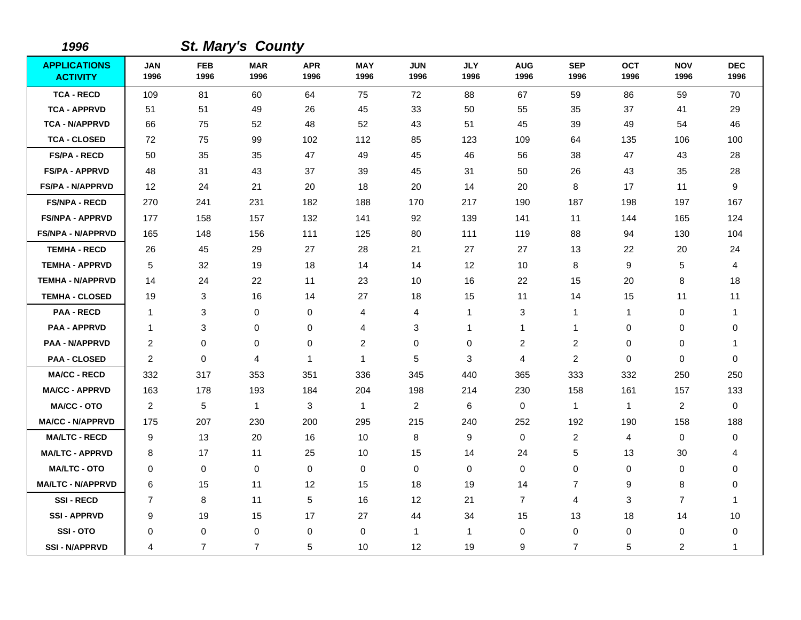| 1996                                   |                    |                    | <b>St. Mary's County</b> |                    |                    |                    |                    |                    |                    |                    |                    |                    |
|----------------------------------------|--------------------|--------------------|--------------------------|--------------------|--------------------|--------------------|--------------------|--------------------|--------------------|--------------------|--------------------|--------------------|
| <b>APPLICATIONS</b><br><b>ACTIVITY</b> | <b>JAN</b><br>1996 | <b>FEB</b><br>1996 | <b>MAR</b><br>1996       | <b>APR</b><br>1996 | <b>MAY</b><br>1996 | <b>JUN</b><br>1996 | <b>JLY</b><br>1996 | <b>AUG</b><br>1996 | <b>SEP</b><br>1996 | <b>OCT</b><br>1996 | <b>NOV</b><br>1996 | <b>DEC</b><br>1996 |
| <b>TCA - RECD</b>                      | 109                | 81                 | 60                       | 64                 | 75                 | 72                 | 88                 | 67                 | 59                 | 86                 | 59                 | 70                 |
| <b>TCA - APPRVD</b>                    | 51                 | 51                 | 49                       | 26                 | 45                 | 33                 | 50                 | 55                 | 35                 | 37                 | 41                 | 29                 |
| <b>TCA - N/APPRVD</b>                  | 66                 | 75                 | 52                       | 48                 | 52                 | 43                 | 51                 | 45                 | 39                 | 49                 | 54                 | 46                 |
| <b>TCA - CLOSED</b>                    | 72                 | 75                 | 99                       | 102                | 112                | 85                 | 123                | 109                | 64                 | 135                | 106                | 100                |
| <b>FS/PA - RECD</b>                    | 50                 | 35                 | 35                       | 47                 | 49                 | 45                 | 46                 | 56                 | 38                 | 47                 | 43                 | 28                 |
| <b>FS/PA - APPRVD</b>                  | 48                 | 31                 | 43                       | 37                 | 39                 | 45                 | 31                 | 50                 | 26                 | 43                 | 35                 | 28                 |
| <b>FS/PA - N/APPRVD</b>                | 12                 | 24                 | 21                       | 20                 | 18                 | 20                 | 14                 | 20                 | 8                  | 17                 | 11                 | 9                  |
| <b>FS/NPA - RECD</b>                   | 270                | 241                | 231                      | 182                | 188                | 170                | 217                | 190                | 187                | 198                | 197                | 167                |
| <b>FS/NPA - APPRVD</b>                 | 177                | 158                | 157                      | 132                | 141                | 92                 | 139                | 141                | 11                 | 144                | 165                | 124                |
| <b>FS/NPA - N/APPRVD</b>               | 165                | 148                | 156                      | 111                | 125                | 80                 | 111                | 119                | 88                 | 94                 | 130                | 104                |
| <b>TEMHA - RECD</b>                    | 26                 | 45                 | 29                       | 27                 | 28                 | 21                 | 27                 | 27                 | 13                 | 22                 | 20                 | 24                 |
| <b>TEMHA - APPRVD</b>                  | 5                  | 32                 | 19                       | 18                 | 14                 | 14                 | 12                 | 10                 | 8                  | 9                  | 5                  | 4                  |
| <b>TEMHA - N/APPRVD</b>                | 14                 | 24                 | 22                       | 11                 | 23                 | 10                 | 16                 | 22                 | 15                 | 20                 | 8                  | 18                 |
| <b>TEMHA - CLOSED</b>                  | 19                 | 3                  | 16                       | 14                 | 27                 | 18                 | 15                 | 11                 | 14                 | 15                 | 11                 | 11                 |
| <b>PAA - RECD</b>                      | -1                 | 3                  | 0                        | 0                  | 4                  | 4                  | 1                  | 3                  | $\mathbf{1}$       | $\mathbf{1}$       | 0                  | 1                  |
| <b>PAA - APPRVD</b>                    | -1                 | 3                  | 0                        | $\mathbf 0$        | 4                  | 3                  | 1                  | $\mathbf{1}$       | $\overline{1}$     | $\pmb{0}$          | $\mathbf 0$        | $\pmb{0}$          |
| PAA - N/APPRVD                         | $\overline{c}$     | $\mathbf 0$        | $\Omega$                 | 0                  | $\overline{c}$     | $\Omega$           | $\pmb{0}$          | $\overline{c}$     | $\overline{2}$     | $\pmb{0}$          | $\mathbf 0$        | -1                 |
| <b>PAA - CLOSED</b>                    | $\overline{c}$     | $\mathbf 0$        | 4                        | $\mathbf{1}$       | $\mathbf{1}$       | 5                  | 3                  | 4                  | $\overline{c}$     | $\pmb{0}$          | $\mathbf 0$        | 0                  |
| <b>MA/CC - RECD</b>                    | 332                | 317                | 353                      | 351                | 336                | 345                | 440                | 365                | 333                | 332                | 250                | 250                |
| <b>MA/CC - APPRVD</b>                  | 163                | 178                | 193                      | 184                | 204                | 198                | 214                | 230                | 158                | 161                | 157                | 133                |
| <b>MA/CC - OTO</b>                     | $\overline{2}$     | 5                  | $\mathbf{1}$             | 3                  | $\overline{1}$     | $\overline{2}$     | 6                  | 0                  | $\overline{1}$     | $\mathbf{1}$       | $\overline{2}$     | 0                  |
| <b>MA/CC - N/APPRVD</b>                | 175                | 207                | 230                      | 200                | 295                | 215                | 240                | 252                | 192                | 190                | 158                | 188                |
| <b>MA/LTC - RECD</b>                   | 9                  | 13                 | 20                       | 16                 | 10                 | 8                  | 9                  | 0                  | 2                  | 4                  | 0                  | 0                  |
| <b>MA/LTC - APPRVD</b>                 | 8                  | 17                 | 11                       | 25                 | 10                 | 15                 | 14                 | 24                 | 5                  | 13                 | 30                 | 4                  |
| <b>MA/LTC - OTO</b>                    | $\mathbf 0$        | 0                  | 0                        | 0                  | 0                  | 0                  | $\mathbf 0$        | 0                  | $\mathbf 0$        | 0                  | 0                  | 0                  |
| <b>MA/LTC - N/APPRVD</b>               | 6                  | 15                 | 11                       | 12                 | 15                 | 18                 | 19                 | 14                 | $\overline{7}$     | 9                  | 8                  | 0                  |
| <b>SSI-RECD</b>                        | $\overline{7}$     | 8                  | 11                       | 5                  | 16                 | 12                 | 21                 | $\overline{7}$     | $\overline{4}$     | 3                  | $\overline{7}$     | 1                  |
| <b>SSI-APPRVD</b>                      | 9                  | 19                 | 15                       | 17                 | 27                 | 44                 | 34                 | 15                 | 13                 | 18                 | 14                 | 10                 |
| SSI-OTO                                | 0                  | $\pmb{0}$          | 0                        | 0                  | 0                  | 1                  | $\mathbf{1}$       | $\pmb{0}$          | $\mathbf 0$        | $\pmb{0}$          | $\pmb{0}$          | 0                  |
| <b>SSI-N/APPRVD</b>                    | 4                  | $\overline{7}$     | $\overline{7}$           | 5                  | 10                 | 12                 | 19                 | 9                  | $\overline{7}$     | 5                  | $\overline{c}$     | -1                 |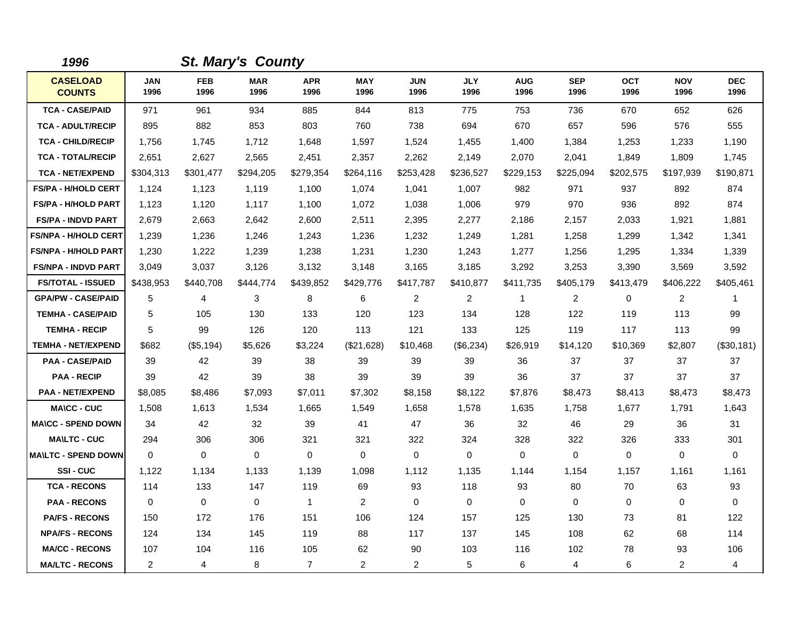| 1996                             |                    |                    | <b>St. Mary's County</b> |                    |                    |                    |                    |                    |                    |                    |                    |                    |
|----------------------------------|--------------------|--------------------|--------------------------|--------------------|--------------------|--------------------|--------------------|--------------------|--------------------|--------------------|--------------------|--------------------|
| <b>CASELOAD</b><br><b>COUNTS</b> | <b>JAN</b><br>1996 | <b>FEB</b><br>1996 | <b>MAR</b><br>1996       | <b>APR</b><br>1996 | <b>MAY</b><br>1996 | <b>JUN</b><br>1996 | <b>JLY</b><br>1996 | <b>AUG</b><br>1996 | <b>SEP</b><br>1996 | <b>OCT</b><br>1996 | <b>NOV</b><br>1996 | <b>DEC</b><br>1996 |
| <b>TCA - CASE/PAID</b>           | 971                | 961                | 934                      | 885                | 844                | 813                | 775                | 753                | 736                | 670                | 652                | 626                |
| <b>TCA - ADULT/RECIP</b>         | 895                | 882                | 853                      | 803                | 760                | 738                | 694                | 670                | 657                | 596                | 576                | 555                |
| <b>TCA - CHILD/RECIP</b>         | 1,756              | 1,745              | 1,712                    | 1,648              | 1,597              | 1,524              | 1,455              | 1,400              | 1,384              | 1,253              | 1,233              | 1,190              |
| <b>TCA - TOTAL/RECIP</b>         | 2,651              | 2,627              | 2,565                    | 2,451              | 2,357              | 2,262              | 2,149              | 2,070              | 2,041              | 1,849              | 1,809              | 1,745              |
| <b>TCA - NET/EXPEND</b>          | \$304,313          | \$301,477          | \$294,205                | \$279,354          | \$264,116          | \$253,428          | \$236,527          | \$229,153          | \$225,094          | \$202,575          | \$197,939          | \$190,871          |
| <b>FS/PA - H/HOLD CERT</b>       | 1,124              | 1,123              | 1,119                    | 1,100              | 1,074              | 1,041              | 1,007              | 982                | 971                | 937                | 892                | 874                |
| <b>FS/PA - H/HOLD PART</b>       | 1,123              | 1.120              | 1.117                    | 1.100              | 1,072              | 1.038              | 1.006              | 979                | 970                | 936                | 892                | 874                |
| <b>FS/PA - INDVD PART</b>        | 2,679              | 2,663              | 2,642                    | 2,600              | 2,511              | 2,395              | 2,277              | 2,186              | 2,157              | 2,033              | 1,921              | 1,881              |
| <b>FS/NPA - H/HOLD CERT</b>      | 1,239              | 1,236              | 1,246                    | 1,243              | 1,236              | 1,232              | 1,249              | 1,281              | 1,258              | 1,299              | 1,342              | 1,341              |
| <b>FS/NPA - H/HOLD PART</b>      | 1,230              | 1,222              | 1,239                    | 1,238              | 1,231              | 1,230              | 1,243              | 1,277              | 1,256              | 1,295              | 1,334              | 1,339              |
| <b>FS/NPA - INDVD PART</b>       | 3,049              | 3,037              | 3,126                    | 3,132              | 3,148              | 3,165              | 3,185              | 3,292              | 3,253              | 3,390              | 3,569              | 3,592              |
| <b>FS/TOTAL - ISSUED</b>         | \$438,953          | \$440,708          | \$444,774                | \$439,852          | \$429,776          | \$417,787          | \$410,877          | \$411,735          | \$405,179          | \$413,479          | \$406,222          | \$405,461          |
| <b>GPA/PW - CASE/PAID</b>        | 5                  | 4                  | 3                        | 8                  | 6                  | 2                  | $\overline{c}$     | $\mathbf{1}$       | 2                  | 0                  | $\overline{c}$     | 1                  |
| <b>TEMHA - CASE/PAID</b>         | 5                  | 105                | 130                      | 133                | 120                | 123                | 134                | 128                | 122                | 119                | 113                | 99                 |
| <b>TEMHA - RECIP</b>             | 5                  | 99                 | 126                      | 120                | 113                | 121                | 133                | 125                | 119                | 117                | 113                | 99                 |
| <b>TEMHA - NET/EXPEND</b>        | \$682              | (\$5,194)          | \$5,626                  | \$3,224            | (\$21,628)         | \$10,468           | (\$6,234)          | \$26,919           | \$14,120           | \$10,369           | \$2,807            | (\$30,181)         |
| <b>PAA - CASE/PAID</b>           | 39                 | 42                 | 39                       | 38                 | 39                 | 39                 | 39                 | 36                 | 37                 | 37                 | 37                 | 37                 |
| <b>PAA - RECIP</b>               | 39                 | 42                 | 39                       | 38                 | 39                 | 39                 | 39                 | 36                 | 37                 | 37                 | 37                 | 37                 |
| <b>PAA - NET/EXPEND</b>          | \$8,085            | \$8,486            | \$7,093                  | \$7,011            | \$7,302            | \$8,158            | \$8,122            | \$7,876            | \$8,473            | \$8,413            | \$8,473            | \$8,473            |
| <b>MA\CC - CUC</b>               | 1,508              | 1,613              | 1,534                    | 1,665              | 1,549              | 1,658              | 1,578              | 1,635              | 1,758              | 1,677              | 1,791              | 1,643              |
| <b>MA\CC - SPEND DOWN</b>        | 34                 | 42                 | 32                       | 39                 | 41                 | 47                 | 36                 | 32                 | 46                 | 29                 | 36                 | 31                 |
| <b>MA\LTC - CUC</b>              | 294                | 306                | 306                      | 321                | 321                | 322                | 324                | 328                | 322                | 326                | 333                | 301                |
| <b>MA\LTC - SPEND DOWN</b>       | 0                  | $\mathbf 0$        | $\mathbf 0$              | $\mathbf 0$        | $\mathbf 0$        | $\mathbf 0$        | $\mathbf 0$        | 0                  | $\mathbf 0$        | 0                  | 0                  | 0                  |
| SSI-CUC                          | 1,122              | 1,134              | 1,133                    | 1,139              | 1,098              | 1,112              | 1,135              | 1,144              | 1,154              | 1,157              | 1,161              | 1,161              |
| <b>TCA - RECONS</b>              | 114                | 133                | 147                      | 119                | 69                 | 93                 | 118                | 93                 | 80                 | 70                 | 63                 | 93                 |
| <b>PAA - RECONS</b>              | $\Omega$           | 0                  | $\mathbf 0$              | $\mathbf{1}$       | $\overline{c}$     | $\mathbf 0$        | $\mathbf 0$        | 0                  | $\mathbf 0$        | $\mathbf 0$        | 0                  | 0                  |
| <b>PA/FS - RECONS</b>            | 150                | 172                | 176                      | 151                | 106                | 124                | 157                | 125                | 130                | 73                 | 81                 | 122                |
| <b>NPA/FS - RECONS</b>           | 124                | 134                | 145                      | 119                | 88                 | 117                | 137                | 145                | 108                | 62                 | 68                 | 114                |
| <b>MA/CC - RECONS</b>            | 107                | 104                | 116                      | 105                | 62                 | 90                 | 103                | 116                | 102                | 78                 | 93                 | 106                |
| <b>MA/LTC - RECONS</b>           | 2                  | $\overline{4}$     | 8                        | $\overline{7}$     | $\overline{a}$     | $\overline{c}$     | 5                  | 6                  | $\overline{4}$     | 6                  | 2                  | 4                  |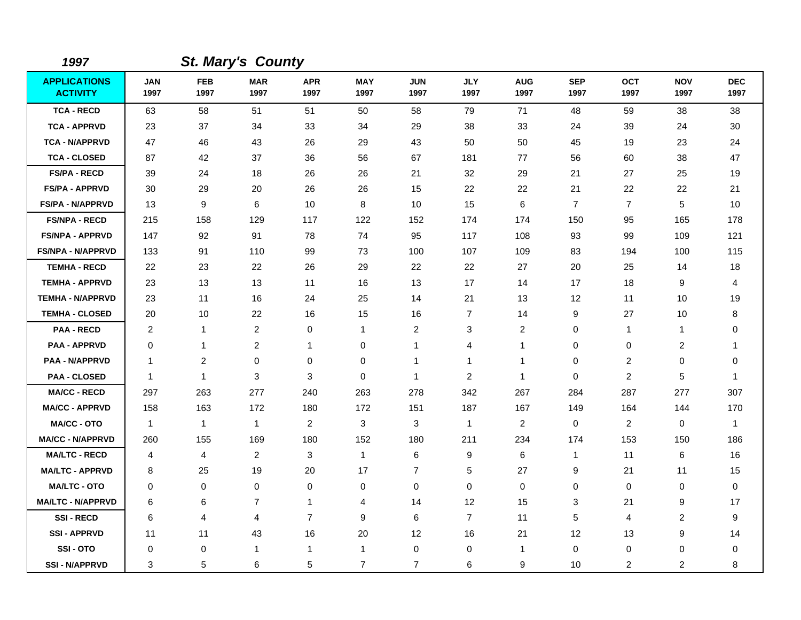| 1997                                   |                    |                    | <b>St. Mary's County</b> |                    |                    |                    |                    |                    |                    |                    |                    |                    |
|----------------------------------------|--------------------|--------------------|--------------------------|--------------------|--------------------|--------------------|--------------------|--------------------|--------------------|--------------------|--------------------|--------------------|
| <b>APPLICATIONS</b><br><b>ACTIVITY</b> | <b>JAN</b><br>1997 | <b>FEB</b><br>1997 | <b>MAR</b><br>1997       | <b>APR</b><br>1997 | <b>MAY</b><br>1997 | <b>JUN</b><br>1997 | <b>JLY</b><br>1997 | <b>AUG</b><br>1997 | <b>SEP</b><br>1997 | <b>OCT</b><br>1997 | <b>NOV</b><br>1997 | <b>DEC</b><br>1997 |
| <b>TCA - RECD</b>                      | 63                 | 58                 | 51                       | 51                 | 50                 | 58                 | 79                 | 71                 | 48                 | 59                 | 38                 | 38                 |
| <b>TCA - APPRVD</b>                    | 23                 | 37                 | 34                       | 33                 | 34                 | 29                 | 38                 | 33                 | 24                 | 39                 | 24                 | 30                 |
| <b>TCA - N/APPRVD</b>                  | 47                 | 46                 | 43                       | 26                 | 29                 | 43                 | 50                 | 50                 | 45                 | 19                 | 23                 | 24                 |
| <b>TCA - CLOSED</b>                    | 87                 | 42                 | 37                       | 36                 | 56                 | 67                 | 181                | 77                 | 56                 | 60                 | 38                 | 47                 |
| <b>FS/PA - RECD</b>                    | 39                 | 24                 | 18                       | 26                 | 26                 | 21                 | 32                 | 29                 | 21                 | 27                 | 25                 | 19                 |
| <b>FS/PA - APPRVD</b>                  | 30                 | 29                 | 20                       | 26                 | 26                 | 15                 | 22                 | 22                 | 21                 | 22                 | 22                 | 21                 |
| FS/PA - N/APPRVD                       | 13                 | 9                  | 6                        | 10                 | 8                  | 10                 | 15                 | 6                  | $\overline{7}$     | $\overline{7}$     | 5                  | 10                 |
| <b>FS/NPA - RECD</b>                   | 215                | 158                | 129                      | 117                | 122                | 152                | 174                | 174                | 150                | 95                 | 165                | 178                |
| <b>FS/NPA - APPRVD</b>                 | 147                | 92                 | 91                       | 78                 | 74                 | 95                 | 117                | 108                | 93                 | 99                 | 109                | 121                |
| <b>FS/NPA - N/APPRVD</b>               | 133                | 91                 | 110                      | 99                 | 73                 | 100                | 107                | 109                | 83                 | 194                | 100                | 115                |
| <b>TEMHA - RECD</b>                    | 22                 | 23                 | 22                       | 26                 | 29                 | 22                 | 22                 | 27                 | 20                 | 25                 | 14                 | 18                 |
| <b>TEMHA - APPRVD</b>                  | 23                 | 13                 | 13                       | 11                 | 16                 | 13                 | 17                 | 14                 | 17                 | 18                 | 9                  | 4                  |
| <b>TEMHA - N/APPRVD</b>                | 23                 | 11                 | 16                       | 24                 | 25                 | 14                 | 21                 | 13                 | 12                 | 11                 | 10                 | 19                 |
| <b>TEMHA - CLOSED</b>                  | 20                 | 10                 | 22                       | 16                 | 15                 | 16                 | $\overline{7}$     | 14                 | 9                  | 27                 | 10                 | 8                  |
| <b>PAA - RECD</b>                      | $\overline{c}$     | 1                  | $\overline{c}$           | 0                  | $\mathbf{1}$       | $\overline{2}$     | 3                  | 2                  | $\mathbf 0$        | $\mathbf{1}$       | $\mathbf{1}$       | 0                  |
| <b>PAA - APPRVD</b>                    | 0                  | 1                  | $\overline{c}$           | 1                  | 0                  | $\mathbf{1}$       | 4                  | $\mathbf{1}$       | $\mathbf 0$        | 0                  | 2                  | 1                  |
| <b>PAA - N/APPRVD</b>                  | $\overline{1}$     | $\overline{c}$     | 0                        | 0                  | 0                  | $\mathbf 1$        | 1                  | 1                  | $\mathbf 0$        | $\overline{c}$     | $\mathbf 0$        | 0                  |
| <b>PAA - CLOSED</b>                    | $\overline{1}$     | $\mathbf{1}$       | 3                        | 3                  | 0                  | $\mathbf{1}$       | 2                  | $\mathbf{1}$       | 0                  | $\overline{c}$     | 5                  | $\mathbf{1}$       |
| <b>MA/CC - RECD</b>                    | 297                | 263                | 277                      | 240                | 263                | 278                | 342                | 267                | 284                | 287                | 277                | 307                |
| <b>MA/CC - APPRVD</b>                  | 158                | 163                | 172                      | 180                | 172                | 151                | 187                | 167                | 149                | 164                | 144                | 170                |
| <b>MA/CC - OTO</b>                     | $\mathbf{1}$       | $\mathbf{1}$       | $\mathbf{1}$             | $\overline{c}$     | 3                  | 3                  | $\mathbf{1}$       | $\overline{c}$     | 0                  | $\overline{c}$     | $\pmb{0}$          | 1                  |
| <b>MA/CC - N/APPRVD</b>                | 260                | 155                | 169                      | 180                | 152                | 180                | 211                | 234                | 174                | 153                | 150                | 186                |
| <b>MA/LTC - RECD</b>                   | 4                  | 4                  | $\overline{2}$           | 3                  | $\mathbf{1}$       | 6                  | 9                  | 6                  | $\mathbf{1}$       | 11                 | 6                  | 16                 |
| <b>MA/LTC - APPRVD</b>                 | 8                  | 25                 | 19                       | 20                 | 17                 | $\overline{7}$     | 5                  | 27                 | 9                  | 21                 | 11                 | 15                 |
| <b>MA/LTC - OTO</b>                    | 0                  | 0                  | 0                        | 0                  | 0                  | 0                  | 0                  | 0                  | 0                  | 0                  | 0                  | 0                  |
| <b>MA/LTC - N/APPRVD</b>               | 6                  | 6                  | $\overline{7}$           | $\mathbf{1}$       | 4                  | 14                 | 12                 | 15                 | 3                  | 21                 | 9                  | 17                 |
| <b>SSI-RECD</b>                        | 6                  | 4                  | 4                        | $\overline{7}$     | 9                  | 6                  | $\overline{7}$     | 11                 | 5                  | 4                  | 2                  | 9                  |
| <b>SSI-APPRVD</b>                      | 11                 | 11                 | 43                       | 16                 | 20                 | 12                 | 16                 | 21                 | 12                 | 13                 | 9                  | 14                 |
| SSI-OTO                                | 0                  | 0                  | $\mathbf{1}$             | 1                  | $\mathbf{1}$       | 0                  | 0                  | 1                  | 0                  | 0                  | 0                  | 0                  |
| <b>SSI-N/APPRVD</b>                    | 3                  | 5                  | 6                        | 5                  | 7                  | 7                  | 6                  | 9                  | 10                 | $\overline{c}$     | $\overline{c}$     | 8                  |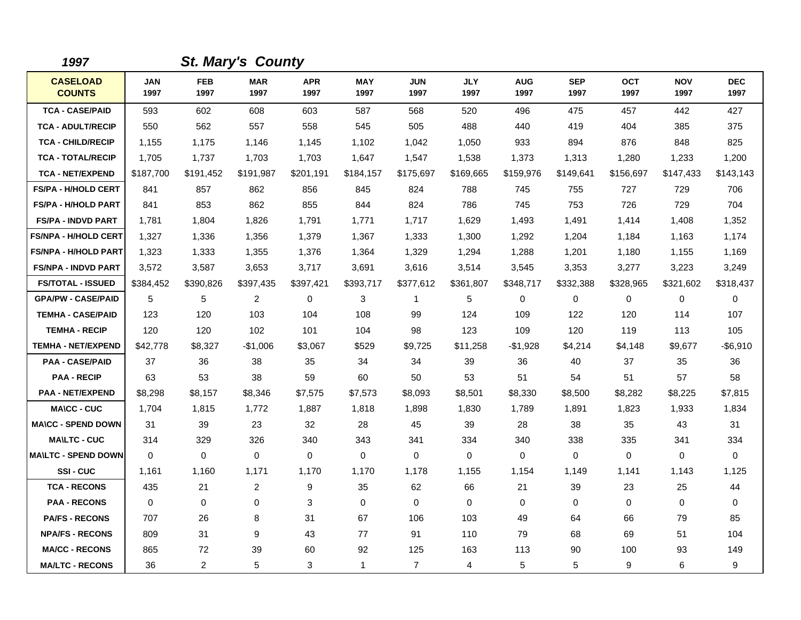| 1997                             |                    |                    | <b>St. Mary's County</b> |                    |                    |                    |                    |                    |                    |                    |                    |                    |
|----------------------------------|--------------------|--------------------|--------------------------|--------------------|--------------------|--------------------|--------------------|--------------------|--------------------|--------------------|--------------------|--------------------|
| <b>CASELOAD</b><br><b>COUNTS</b> | <b>JAN</b><br>1997 | <b>FEB</b><br>1997 | <b>MAR</b><br>1997       | <b>APR</b><br>1997 | <b>MAY</b><br>1997 | <b>JUN</b><br>1997 | <b>JLY</b><br>1997 | <b>AUG</b><br>1997 | <b>SEP</b><br>1997 | <b>OCT</b><br>1997 | <b>NOV</b><br>1997 | <b>DEC</b><br>1997 |
| <b>TCA - CASE/PAID</b>           | 593                | 602                | 608                      | 603                | 587                | 568                | 520                | 496                | 475                | 457                | 442                | 427                |
| <b>TCA - ADULT/RECIP</b>         | 550                | 562                | 557                      | 558                | 545                | 505                | 488                | 440                | 419                | 404                | 385                | 375                |
| <b>TCA - CHILD/RECIP</b>         | 1,155              | 1,175              | 1,146                    | 1,145              | 1,102              | 1,042              | 1,050              | 933                | 894                | 876                | 848                | 825                |
| <b>TCA - TOTAL/RECIP</b>         | 1,705              | 1.737              | 1.703                    | 1,703              | 1,647              | 1.547              | 1,538              | 1,373              | 1,313              | 1,280              | 1,233              | 1,200              |
| <b>TCA - NET/EXPEND</b>          | \$187,700          | \$191,452          | \$191,987                | \$201,191          | \$184,157          | \$175,697          | \$169,665          | \$159,976          | \$149,641          | \$156,697          | \$147,433          | \$143,143          |
| <b>FS/PA - H/HOLD CERT</b>       | 841                | 857                | 862                      | 856                | 845                | 824                | 788                | 745                | 755                | 727                | 729                | 706                |
| <b>FS/PA - H/HOLD PART</b>       | 841                | 853                | 862                      | 855                | 844                | 824                | 786                | 745                | 753                | 726                | 729                | 704                |
| <b>FS/PA - INDVD PART</b>        | 1,781              | 1,804              | 1,826                    | 1,791              | 1,771              | 1,717              | 1,629              | 1,493              | 1,491              | 1,414              | 1,408              | 1,352              |
| FS/NPA - H/HOLD CERT             | 1,327              | 1,336              | 1,356                    | 1,379              | 1,367              | 1,333              | 1,300              | 1,292              | 1,204              | 1,184              | 1,163              | 1,174              |
| <b>FS/NPA - H/HOLD PART</b>      | 1,323              | 1,333              | 1,355                    | 1,376              | 1,364              | 1,329              | 1,294              | 1,288              | 1,201              | 1,180              | 1,155              | 1,169              |
| <b>FS/NPA - INDVD PART</b>       | 3,572              | 3,587              | 3,653                    | 3,717              | 3,691              | 3,616              | 3,514              | 3,545              | 3,353              | 3,277              | 3,223              | 3,249              |
| <b>FS/TOTAL - ISSUED</b>         | \$384,452          | \$390,826          | \$397,435                | \$397,421          | \$393,717          | \$377,612          | \$361,807          | \$348,717          | \$332,388          | \$328,965          | \$321,602          | \$318,437          |
| <b>GPA/PW - CASE/PAID</b>        | 5                  | 5                  | 2                        | $\mathbf 0$        | 3                  | 1                  | 5                  | 0                  | 0                  | 0                  | 0                  | 0                  |
| <b>TEMHA - CASE/PAID</b>         | 123                | 120                | 103                      | 104                | 108                | 99                 | 124                | 109                | 122                | 120                | 114                | 107                |
| <b>TEMHA - RECIP</b>             | 120                | 120                | 102                      | 101                | 104                | 98                 | 123                | 109                | 120                | 119                | 113                | 105                |
| <b>TEMHA - NET/EXPEND</b>        | \$42,778           | \$8,327            | $-$1,006$                | \$3,067            | \$529              | \$9,725            | \$11,258           | $-$1,928$          | \$4,214            | \$4,148            | \$9,677            | $-$6,910$          |
| <b>PAA - CASE/PAID</b>           | 37                 | 36                 | 38                       | 35                 | 34                 | 34                 | 39                 | 36                 | 40                 | 37                 | 35                 | 36                 |
| <b>PAA - RECIP</b>               | 63                 | 53                 | 38                       | 59                 | 60                 | 50                 | 53                 | 51                 | 54                 | 51                 | 57                 | 58                 |
| <b>PAA - NET/EXPEND</b>          | \$8,298            | \$8,157            | \$8,346                  | \$7,575            | \$7,573            | \$8,093            | \$8,501            | \$8,330            | \$8,500            | \$8,282            | \$8,225            | \$7,815            |
| <b>MA\CC - CUC</b>               | 1,704              | 1,815              | 1,772                    | 1,887              | 1,818              | 1,898              | 1,830              | 1,789              | 1,891              | 1,823              | 1,933              | 1,834              |
| <b>MA\CC - SPEND DOWN</b>        | 31                 | 39                 | 23                       | 32                 | 28                 | 45                 | 39                 | 28                 | 38                 | 35                 | 43                 | 31                 |
| <b>MAILTC - CUC</b>              | 314                | 329                | 326                      | 340                | 343                | 341                | 334                | 340                | 338                | 335                | 341                | 334                |
| <b>MA\LTC - SPEND DOWN</b>       | $\mathbf 0$        | 0                  | $\mathbf 0$              | $\mathbf 0$        | $\mathbf 0$        | 0                  | $\mathbf 0$        | 0                  | 0                  | $\mathbf 0$        | 0                  | 0                  |
| SSI-CUC                          | 1,161              | 1,160              | 1,171                    | 1,170              | 1,170              | 1,178              | 1,155              | 1,154              | 1,149              | 1,141              | 1,143              | 1,125              |
| <b>TCA - RECONS</b>              | 435                | 21                 | $\overline{2}$           | 9                  | 35                 | 62                 | 66                 | 21                 | 39                 | 23                 | 25                 | 44                 |
| <b>PAA - RECONS</b>              | $\Omega$           | 0                  | $\mathbf 0$              | 3                  | $\mathbf 0$        | $\mathbf 0$        | $\Omega$           | 0                  | 0                  | $\Omega$           | $\mathbf 0$        | 0                  |
| <b>PA/FS - RECONS</b>            | 707                | 26                 | 8                        | 31                 | 67                 | 106                | 103                | 49                 | 64                 | 66                 | 79                 | 85                 |
| <b>NPA/FS - RECONS</b>           | 809                | 31                 | 9                        | 43                 | 77                 | 91                 | 110                | 79                 | 68                 | 69                 | 51                 | 104                |
| <b>MA/CC - RECONS</b>            | 865                | 72                 | 39                       | 60                 | 92                 | 125                | 163                | 113                | 90                 | 100                | 93                 | 149                |
| <b>MA/LTC - RECONS</b>           | 36                 | $\overline{2}$     | 5                        | 3                  | $\mathbf{1}$       | $\overline{7}$     | 4                  | 5                  | 5                  | 9                  | 6                  | 9                  |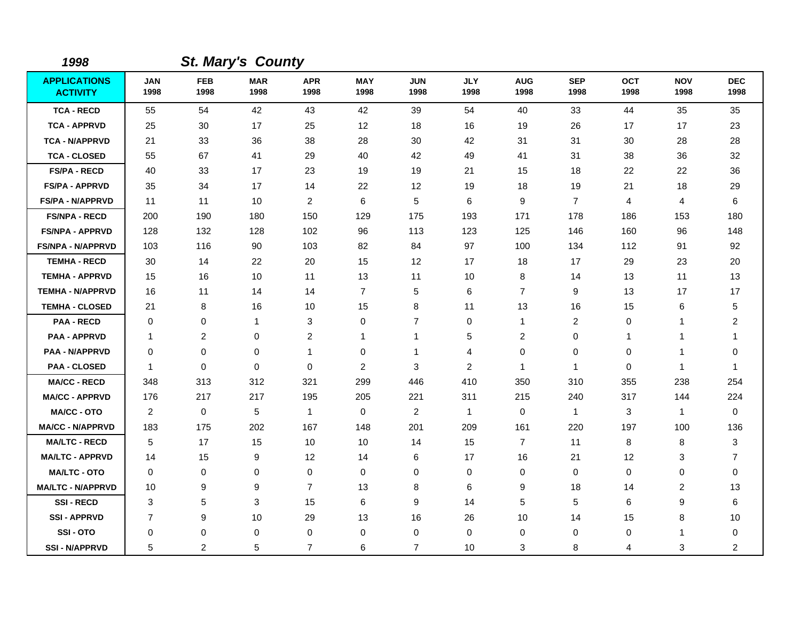| 1998                                   |                    |                    | <b>St. Mary's County</b> |                    |                    |                    |                    |                    |                    |                    |                    |                    |
|----------------------------------------|--------------------|--------------------|--------------------------|--------------------|--------------------|--------------------|--------------------|--------------------|--------------------|--------------------|--------------------|--------------------|
| <b>APPLICATIONS</b><br><b>ACTIVITY</b> | <b>JAN</b><br>1998 | <b>FEB</b><br>1998 | <b>MAR</b><br>1998       | <b>APR</b><br>1998 | <b>MAY</b><br>1998 | <b>JUN</b><br>1998 | <b>JLY</b><br>1998 | <b>AUG</b><br>1998 | <b>SEP</b><br>1998 | <b>OCT</b><br>1998 | <b>NOV</b><br>1998 | <b>DEC</b><br>1998 |
| <b>TCA - RECD</b>                      | 55                 | 54                 | 42                       | 43                 | 42                 | 39                 | 54                 | 40                 | 33                 | 44                 | 35                 | 35                 |
| <b>TCA - APPRVD</b>                    | 25                 | 30                 | 17                       | 25                 | 12                 | 18                 | 16                 | 19                 | 26                 | 17                 | 17                 | 23                 |
| <b>TCA - N/APPRVD</b>                  | 21                 | 33                 | 36                       | 38                 | 28                 | 30                 | 42                 | 31                 | 31                 | 30                 | 28                 | 28                 |
| <b>TCA - CLOSED</b>                    | 55                 | 67                 | 41                       | 29                 | 40                 | 42                 | 49                 | 41                 | 31                 | 38                 | 36                 | 32                 |
| <b>FS/PA - RECD</b>                    | 40                 | 33                 | 17                       | 23                 | 19                 | 19                 | 21                 | 15                 | 18                 | 22                 | 22                 | 36                 |
| <b>FS/PA - APPRVD</b>                  | 35                 | 34                 | 17                       | 14                 | 22                 | 12                 | 19                 | 18                 | 19                 | 21                 | 18                 | 29                 |
| <b>FS/PA - N/APPRVD</b>                | 11                 | 11                 | 10                       | $\overline{2}$     | 6                  | 5                  | 6                  | 9                  | $\overline{7}$     | 4                  | 4                  | 6                  |
| <b>FS/NPA - RECD</b>                   | 200                | 190                | 180                      | 150                | 129                | 175                | 193                | 171                | 178                | 186                | 153                | 180                |
| <b>FS/NPA - APPRVD</b>                 | 128                | 132                | 128                      | 102                | 96                 | 113                | 123                | 125                | 146                | 160                | 96                 | 148                |
| <b>FS/NPA - N/APPRVD</b>               | 103                | 116                | 90                       | 103                | 82                 | 84                 | 97                 | 100                | 134                | 112                | 91                 | 92                 |
| <b>TEMHA - RECD</b>                    | 30                 | 14                 | 22                       | 20                 | 15                 | 12                 | 17                 | 18                 | 17                 | 29                 | 23                 | 20                 |
| <b>TEMHA - APPRVD</b>                  | 15                 | 16                 | 10                       | 11                 | 13                 | 11                 | 10                 | 8                  | 14                 | 13                 | 11                 | 13                 |
| <b>TEMHA - N/APPRVD</b>                | 16                 | 11                 | 14                       | 14                 | $\overline{7}$     | 5                  | 6                  | $\overline{7}$     | 9                  | 13                 | 17                 | 17                 |
| <b>TEMHA - CLOSED</b>                  | 21                 | 8                  | 16                       | 10                 | 15                 | 8                  | 11                 | 13                 | 16                 | 15                 | 6                  | 5                  |
| <b>PAA - RECD</b>                      | 0                  | 0                  | $\mathbf{1}$             | 3                  | 0                  | $\overline{7}$     | 0                  | 1                  | $\overline{2}$     | 0                  | 1                  | $\overline{c}$     |
| <b>PAA - APPRVD</b>                    | $\mathbf 1$        | $\overline{c}$     | 0                        | $\overline{c}$     | $\mathbf{1}$       | 1                  | 5                  | $\overline{c}$     | 0                  | 1                  |                    | 1                  |
| <b>PAA - N/APPRVD</b>                  | 0                  | 0                  | 0                        | 1                  | 0                  | 1                  | 4                  | 0                  | 0                  | 0                  | 1                  | 0                  |
| <b>PAA - CLOSED</b>                    | -1                 | $\mathbf 0$        | $\mathbf 0$              | $\mathbf 0$        | $\overline{2}$     | 3                  | 2                  | 1                  | $\overline{1}$     | 0                  | 1                  | -1                 |
| <b>MA/CC - RECD</b>                    | 348                | 313                | 312                      | 321                | 299                | 446                | 410                | 350                | 310                | 355                | 238                | 254                |
| <b>MA/CC - APPRVD</b>                  | 176                | 217                | 217                      | 195                | 205                | 221                | 311                | 215                | 240                | 317                | 144                | 224                |
| <b>MA/CC - OTO</b>                     | $\overline{2}$     | 0                  | 5                        | $\mathbf 1$        | $\mathbf 0$        | $\overline{2}$     | $\mathbf{1}$       | 0                  | $\mathbf{1}$       | 3                  | $\mathbf{1}$       | 0                  |
| <b>MA/CC - N/APPRVD</b>                | 183                | 175                | 202                      | 167                | 148                | 201                | 209                | 161                | 220                | 197                | 100                | 136                |
| <b>MA/LTC - RECD</b>                   | 5                  | 17                 | 15                       | 10                 | 10                 | 14                 | 15                 | $\overline{7}$     | 11                 | 8                  | 8                  | 3                  |
| <b>MA/LTC - APPRVD</b>                 | 14                 | 15                 | 9                        | 12                 | 14                 | 6                  | 17                 | 16                 | 21                 | 12                 | 3                  | $\overline{7}$     |
| <b>MA/LTC - OTO</b>                    | 0                  | 0                  | 0                        | 0                  | 0                  | 0                  | 0                  | 0                  | 0                  | 0                  | 0                  | 0                  |
| <b>MA/LTC - N/APPRVD</b>               | 10                 | 9                  | 9                        | $\overline{7}$     | 13                 | 8                  | 6                  | 9                  | 18                 | 14                 | 2                  | 13                 |
| <b>SSI-RECD</b>                        | 3                  | 5                  | 3                        | 15                 | 6                  | 9                  | 14                 | 5                  | 5                  | 6                  | 9                  | 6                  |
| <b>SSI-APPRVD</b>                      | $\overline{7}$     | 9                  | 10                       | 29                 | 13                 | 16                 | 26                 | 10                 | 14                 | 15                 | 8                  | 10                 |
| SSI-OTO                                | 0                  | 0                  | 0                        | 0                  | 0                  | 0                  | 0                  | 0                  | 0                  | 0                  | 1                  | 0                  |
| <b>SSI - N/APPRVD</b>                  | 5                  | $\overline{2}$     | 5                        | $\overline{7}$     | 6                  | 7                  | 10                 | 3                  | 8                  | 4                  | 3                  | 2                  |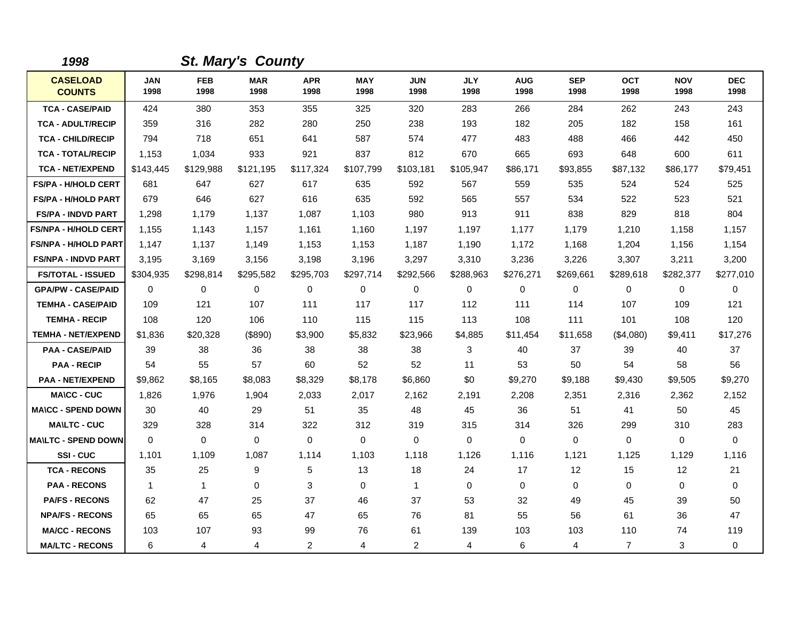| 1998                             |                    |                    | <b>St. Mary's County</b> |                    |                    |                    |                    |                    |                    |                    |                    |                    |
|----------------------------------|--------------------|--------------------|--------------------------|--------------------|--------------------|--------------------|--------------------|--------------------|--------------------|--------------------|--------------------|--------------------|
| <b>CASELOAD</b><br><b>COUNTS</b> | <b>JAN</b><br>1998 | <b>FEB</b><br>1998 | <b>MAR</b><br>1998       | <b>APR</b><br>1998 | <b>MAY</b><br>1998 | <b>JUN</b><br>1998 | <b>JLY</b><br>1998 | <b>AUG</b><br>1998 | <b>SEP</b><br>1998 | <b>OCT</b><br>1998 | <b>NOV</b><br>1998 | <b>DEC</b><br>1998 |
| <b>TCA - CASE/PAID</b>           | 424                | 380                | 353                      | 355                | 325                | 320                | 283                | 266                | 284                | 262                | 243                | 243                |
| <b>TCA - ADULT/RECIP</b>         | 359                | 316                | 282                      | 280                | 250                | 238                | 193                | 182                | 205                | 182                | 158                | 161                |
| <b>TCA - CHILD/RECIP</b>         | 794                | 718                | 651                      | 641                | 587                | 574                | 477                | 483                | 488                | 466                | 442                | 450                |
| <b>TCA - TOTAL/RECIP</b>         | 1,153              | 1,034              | 933                      | 921                | 837                | 812                | 670                | 665                | 693                | 648                | 600                | 611                |
| <b>TCA - NET/EXPEND</b>          | \$143,445          | \$129,988          | \$121,195                | \$117,324          | \$107,799          | \$103,181          | \$105,947          | \$86,171           | \$93,855           | \$87,132           | \$86,177           | \$79,451           |
| <b>FS/PA - H/HOLD CERT</b>       | 681                | 647                | 627                      | 617                | 635                | 592                | 567                | 559                | 535                | 524                | 524                | 525                |
| <b>FS/PA - H/HOLD PART</b>       | 679                | 646                | 627                      | 616                | 635                | 592                | 565                | 557                | 534                | 522                | 523                | 521                |
| <b>FS/PA - INDVD PART</b>        | 1,298              | 1,179              | 1,137                    | 1,087              | 1,103              | 980                | 913                | 911                | 838                | 829                | 818                | 804                |
| <b>FS/NPA - H/HOLD CERT</b>      | 1,155              | 1.143              | 1.157                    | 1,161              | 1,160              | 1.197              | 1.197              | 1,177              | 1,179              | 1,210              | 1,158              | 1,157              |
| <b>FS/NPA - H/HOLD PART</b>      | 1,147              | 1,137              | 1.149                    | 1,153              | 1,153              | 1.187              | 1,190              | 1,172              | 1,168              | 1,204              | 1,156              | 1,154              |
| <b>FS/NPA - INDVD PART</b>       | 3,195              | 3,169              | 3,156                    | 3,198              | 3,196              | 3,297              | 3,310              | 3,236              | 3,226              | 3,307              | 3,211              | 3,200              |
| <b>FS/TOTAL - ISSUED</b>         | \$304,935          | \$298,814          | \$295,582                | \$295,703          | \$297,714          | \$292,566          | \$288,963          | \$276,271          | \$269,661          | \$289,618          | \$282,377          | \$277,010          |
| <b>GPA/PW - CASE/PAID</b>        | $\mathbf 0$        | 0                  | $\mathbf 0$              | 0                  | 0                  | 0                  | $\mathbf 0$        | 0                  | 0                  | 0                  | 0                  | 0                  |
| <b>TEMHA - CASE/PAID</b>         | 109                | 121                | 107                      | 111                | 117                | 117                | 112                | 111                | 114                | 107                | 109                | 121                |
| <b>TEMHA - RECIP</b>             | 108                | 120                | 106                      | 110                | 115                | 115                | 113                | 108                | 111                | 101                | 108                | 120                |
| <b>TEMHA - NET/EXPEND</b>        | \$1,836            | \$20,328           | (\$890)                  | \$3,900            | \$5,832            | \$23,966           | \$4,885            | \$11,454           | \$11,658           | (\$4,080)          | \$9,411            | \$17,276           |
| <b>PAA - CASE/PAID</b>           | 39                 | 38                 | 36                       | 38                 | 38                 | 38                 | 3                  | 40                 | 37                 | 39                 | 40                 | 37                 |
| <b>PAA - RECIP</b>               | 54                 | 55                 | 57                       | 60                 | 52                 | 52                 | 11                 | 53                 | 50                 | 54                 | 58                 | 56                 |
| <b>PAA - NET/EXPEND</b>          | \$9,862            | \$8,165            | \$8,083                  | \$8,329            | \$8,178            | \$6,860            | \$0                | \$9,270            | \$9,188            | \$9,430            | \$9,505            | \$9,270            |
| <b>MA\CC - CUC</b>               | 1,826              | 1,976              | 1,904                    | 2,033              | 2,017              | 2,162              | 2,191              | 2,208              | 2,351              | 2,316              | 2,362              | 2,152              |
| <b>MA\CC - SPEND DOWN</b>        | 30                 | 40                 | 29                       | 51                 | 35                 | 48                 | 45                 | 36                 | 51                 | 41                 | 50                 | 45                 |
| <b>MAILTC - CUC</b>              | 329                | 328                | 314                      | 322                | 312                | 319                | 315                | 314                | 326                | 299                | 310                | 283                |
| <b>MA\LTC - SPEND DOWN</b>       | $\mathbf 0$        | 0                  | 0                        | 0                  | 0                  | 0                  | $\mathbf 0$        | 0                  | 0                  | 0                  | 0                  | 0                  |
| <b>SSI-CUC</b>                   | 1,101              | 1,109              | 1,087                    | 1,114              | 1,103              | 1,118              | 1,126              | 1,116              | 1,121              | 1,125              | 1,129              | 1,116              |
| <b>TCA - RECONS</b>              | 35                 | 25                 | 9                        | 5                  | 13                 | 18                 | 24                 | 17                 | 12                 | 15                 | 12                 | 21                 |
| <b>PAA - RECONS</b>              | $\mathbf{1}$       | $\mathbf{1}$       | $\mathbf 0$              | 3                  | 0                  | $\mathbf{1}$       | $\mathbf 0$        | 0                  | 0                  | 0                  | 0                  | 0                  |
| <b>PA/FS - RECONS</b>            | 62                 | 47                 | 25                       | 37                 | 46                 | 37                 | 53                 | 32                 | 49                 | 45                 | 39                 | 50                 |
| <b>NPA/FS - RECONS</b>           | 65                 | 65                 | 65                       | 47                 | 65                 | 76                 | 81                 | 55                 | 56                 | 61                 | 36                 | 47                 |
| <b>MA/CC - RECONS</b>            | 103                | 107                | 93                       | 99                 | 76                 | 61                 | 139                | 103                | 103                | 110                | 74                 | 119                |
| <b>MA/LTC - RECONS</b>           | 6                  | 4                  | 4                        | $\overline{2}$     | 4                  | 2                  | 4                  | 6                  | 4                  | $\overline{7}$     | 3                  | 0                  |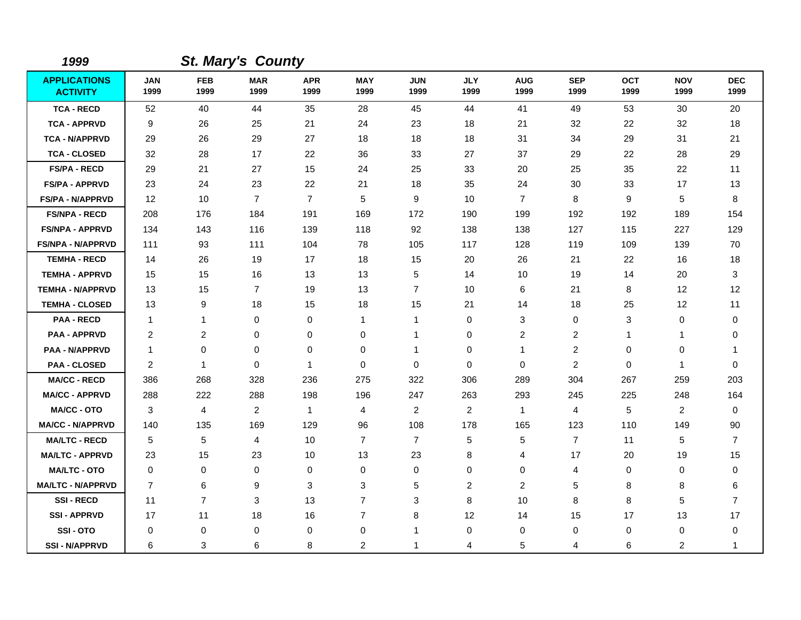| 1999                                   |                         |                    | <b>St. Mary's County</b> |                    |                    |                    |                    |                    |                    |             |                    |                    |
|----------------------------------------|-------------------------|--------------------|--------------------------|--------------------|--------------------|--------------------|--------------------|--------------------|--------------------|-------------|--------------------|--------------------|
| <b>APPLICATIONS</b><br><b>ACTIVITY</b> | <b>JAN</b><br>1999      | <b>FEB</b><br>1999 | <b>MAR</b><br>1999       | <b>APR</b><br>1999 | <b>MAY</b><br>1999 | <b>JUN</b><br>1999 | <b>JLY</b><br>1999 | <b>AUG</b><br>1999 | <b>SEP</b><br>1999 | OCT<br>1999 | <b>NOV</b><br>1999 | <b>DEC</b><br>1999 |
| <b>TCA - RECD</b>                      | 52                      | 40                 | 44                       | 35                 | 28                 | 45                 | 44                 | 41                 | 49                 | 53          | 30                 | 20                 |
| <b>TCA - APPRVD</b>                    | 9                       | 26                 | 25                       | 21                 | 24                 | 23                 | 18                 | 21                 | 32                 | 22          | 32                 | 18                 |
| <b>TCA - N/APPRVD</b>                  | 29                      | 26                 | 29                       | 27                 | 18                 | 18                 | 18                 | 31                 | 34                 | 29          | 31                 | 21                 |
| <b>TCA - CLOSED</b>                    | 32                      | 28                 | 17                       | 22                 | 36                 | 33                 | 27                 | 37                 | 29                 | 22          | 28                 | 29                 |
| <b>FS/PA - RECD</b>                    | 29                      | 21                 | 27                       | 15                 | 24                 | 25                 | 33                 | 20                 | 25                 | 35          | 22                 | 11                 |
| <b>FS/PA - APPRVD</b>                  | 23                      | 24                 | 23                       | 22                 | 21                 | 18                 | 35                 | 24                 | 30                 | 33          | 17                 | 13                 |
| <b>FS/PA - N/APPRVD</b>                | 12                      | 10                 | $\overline{7}$           | $\overline{7}$     | 5                  | 9                  | 10                 | $\overline{7}$     | 8                  | 9           | 5                  | 8                  |
| <b>FS/NPA - RECD</b>                   | 208                     | 176                | 184                      | 191                | 169                | 172                | 190                | 199                | 192                | 192         | 189                | 154                |
| <b>FS/NPA - APPRVD</b>                 | 134                     | 143                | 116                      | 139                | 118                | 92                 | 138                | 138                | 127                | 115         | 227                | 129                |
| <b>FS/NPA - N/APPRVD</b>               | 111                     | 93                 | 111                      | 104                | 78                 | 105                | 117                | 128                | 119                | 109         | 139                | 70                 |
| <b>TEMHA - RECD</b>                    | 14                      | 26                 | 19                       | 17                 | 18                 | 15                 | 20                 | 26                 | 21                 | 22          | 16                 | 18                 |
| <b>TEMHA - APPRVD</b>                  | 15                      | 15                 | 16                       | 13                 | 13                 | 5                  | 14                 | 10                 | 19                 | 14          | 20                 | 3                  |
| <b>TEMHA - N/APPRVD</b>                | 13                      | 15                 | $\overline{7}$           | 19                 | 13                 | $\overline{7}$     | 10                 | 6                  | 21                 | 8           | 12                 | 12                 |
| <b>TEMHA - CLOSED</b>                  | 13                      | 9                  | 18                       | 15                 | 18                 | 15                 | 21                 | 14                 | 18                 | 25          | 12                 | 11                 |
| <b>PAA - RECD</b>                      | $\overline{1}$          | $\mathbf{1}$       | $\mathbf 0$              | $\mathbf 0$        | $\mathbf{1}$       | 1                  | $\mathbf 0$        | 3                  | $\mathbf 0$        | 3           | 0                  | $\mathbf 0$        |
| <b>PAA - APPRVD</b>                    | $\overline{\mathbf{c}}$ | $\overline{c}$     | 0                        | 0                  | 0                  | 1                  | 0                  | $\boldsymbol{2}$   | $\overline{c}$     | 1           | $\mathbf{1}$       | 0                  |
| <b>PAA - N/APPRVD</b>                  | $\overline{1}$          | 0                  | 0                        | 0                  | 0                  | 1                  | $\mathbf 0$        | $\mathbf 1$        | 2                  | 0           | 0                  | 1                  |
| <b>PAA - CLOSED</b>                    | 2                       | $\mathbf{1}$       | $\Omega$                 | -1                 | $\mathbf 0$        | $\Omega$           | $\mathbf 0$        | $\mathbf 0$        | $\overline{c}$     | 0           | $\mathbf{1}$       | $\mathbf 0$        |
| <b>MA/CC - RECD</b>                    | 386                     | 268                | 328                      | 236                | 275                | 322                | 306                | 289                | 304                | 267         | 259                | 203                |
| <b>MA/CC - APPRVD</b>                  | 288                     | 222                | 288                      | 198                | 196                | 247                | 263                | 293                | 245                | 225         | 248                | 164                |
| <b>MA/CC - OTO</b>                     | 3                       | 4                  | 2                        | $\mathbf{1}$       | 4                  | $\overline{2}$     | 2                  | $\mathbf{1}$       | $\overline{4}$     | 5           | $\overline{2}$     | 0                  |
| <b>MA/CC - N/APPRVD</b>                | 140                     | 135                | 169                      | 129                | 96                 | 108                | 178                | 165                | 123                | 110         | 149                | 90                 |
| <b>MA/LTC - RECD</b>                   | 5                       | 5                  | 4                        | 10                 | 7                  | $\overline{7}$     | 5                  | 5                  | $\overline{7}$     | 11          | 5                  | $\overline{7}$     |
| <b>MA/LTC - APPRVD</b>                 | 23                      | 15                 | 23                       | 10                 | 13                 | 23                 | 8                  | 4                  | 17                 | 20          | 19                 | 15                 |
| <b>MA/LTC - OTO</b>                    | 0                       | 0                  | $\mathbf 0$              | 0                  | 0                  | $\mathbf 0$        | $\mathbf 0$        | 0                  | $\overline{4}$     | 0           | 0                  | 0                  |
| <b>MA/LTC - N/APPRVD</b>               | $\overline{7}$          | 6                  | 9                        | 3                  | 3                  | 5                  | 2                  | $\overline{c}$     | 5                  | 8           | 8                  | 6                  |
| <b>SSI-RECD</b>                        | 11                      | $\overline{7}$     | 3                        | 13                 | $\overline{7}$     | 3                  | 8                  | 10                 | 8                  | 8           | 5                  | $\overline{7}$     |
| <b>SSI-APPRVD</b>                      | 17                      | 11                 | 18                       | 16                 | $\overline{7}$     | 8                  | $12 \overline{ }$  | 14                 | 15                 | 17          | 13                 | 17                 |
| SSI-OTO                                | 0                       | 0                  | 0                        | 0                  | 0                  | $\mathbf 1$        | 0                  | 0                  | 0                  | 0           | 0                  | 0                  |
| <b>SSI - N/APPRVD</b>                  | 6                       | 3                  | 6                        | 8                  | 2                  | 1                  | 4                  | 5                  | $\overline{4}$     | 6           | 2                  | 1                  |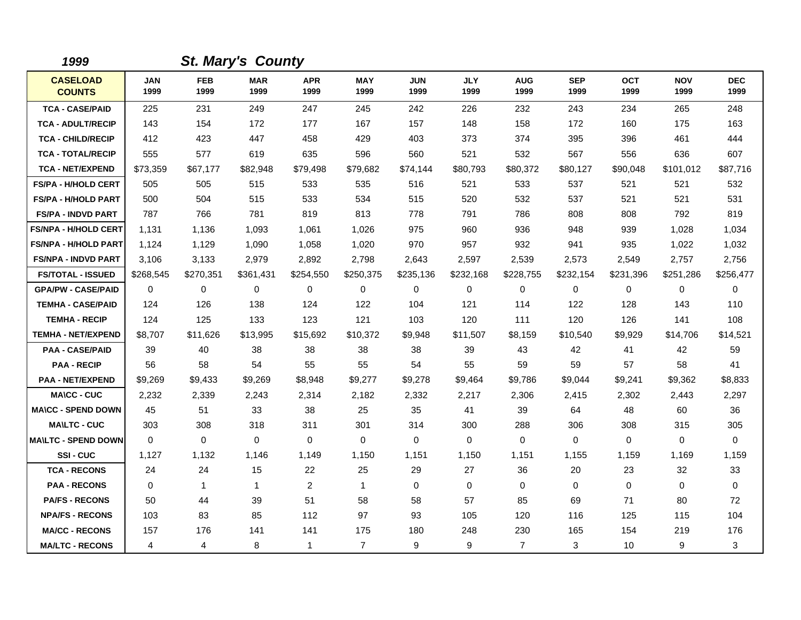| 1999                             |                    |                    | <b>St. Mary's County</b> |                    |                    |                    |                    |                    |                    |                    |                    |                    |
|----------------------------------|--------------------|--------------------|--------------------------|--------------------|--------------------|--------------------|--------------------|--------------------|--------------------|--------------------|--------------------|--------------------|
| <b>CASELOAD</b><br><b>COUNTS</b> | <b>JAN</b><br>1999 | <b>FEB</b><br>1999 | <b>MAR</b><br>1999       | <b>APR</b><br>1999 | <b>MAY</b><br>1999 | <b>JUN</b><br>1999 | <b>JLY</b><br>1999 | <b>AUG</b><br>1999 | <b>SEP</b><br>1999 | <b>OCT</b><br>1999 | <b>NOV</b><br>1999 | <b>DEC</b><br>1999 |
| <b>TCA - CASE/PAID</b>           | 225                | 231                | 249                      | 247                | 245                | 242                | 226                | 232                | 243                | 234                | 265                | 248                |
| <b>TCA - ADULT/RECIP</b>         | 143                | 154                | 172                      | 177                | 167                | 157                | 148                | 158                | 172                | 160                | 175                | 163                |
| <b>TCA - CHILD/RECIP</b>         | 412                | 423                | 447                      | 458                | 429                | 403                | 373                | 374                | 395                | 396                | 461                | 444                |
| <b>TCA - TOTAL/RECIP</b>         | 555                | 577                | 619                      | 635                | 596                | 560                | 521                | 532                | 567                | 556                | 636                | 607                |
| <b>TCA - NET/EXPEND</b>          | \$73,359           | \$67,177           | \$82,948                 | \$79,498           | \$79,682           | \$74,144           | \$80,793           | \$80,372           | \$80,127           | \$90,048           | \$101,012          | \$87,716           |
| <b>FS/PA - H/HOLD CERT</b>       | 505                | 505                | 515                      | 533                | 535                | 516                | 521                | 533                | 537                | 521                | 521                | 532                |
| <b>FS/PA - H/HOLD PART</b>       | 500                | 504                | 515                      | 533                | 534                | 515                | 520                | 532                | 537                | 521                | 521                | 531                |
| <b>FS/PA - INDVD PART</b>        | 787                | 766                | 781                      | 819                | 813                | 778                | 791                | 786                | 808                | 808                | 792                | 819                |
| <b>FS/NPA - H/HOLD CERT</b>      | 1,131              | 1.136              | 1,093                    | 1,061              | 1,026              | 975                | 960                | 936                | 948                | 939                | 1,028              | 1,034              |
| <b>FS/NPA - H/HOLD PART</b>      | 1,124              | 1,129              | 1,090                    | 1,058              | 1,020              | 970                | 957                | 932                | 941                | 935                | 1,022              | 1,032              |
| <b>FS/NPA - INDVD PART</b>       | 3,106              | 3,133              | 2,979                    | 2,892              | 2,798              | 2,643              | 2,597              | 2,539              | 2,573              | 2,549              | 2,757              | 2,756              |
| <b>FS/TOTAL - ISSUED</b>         | \$268,545          | \$270,351          | \$361,431                | \$254,550          | \$250,375          | \$235,136          | \$232,168          | \$228,755          | \$232,154          | \$231,396          | \$251,286          | \$256,477          |
| <b>GPA/PW - CASE/PAID</b>        | 0                  | 0                  | $\mathbf 0$              | 0                  | 0                  | 0                  | $\mathbf 0$        | 0                  | 0                  | 0                  | 0                  | 0                  |
| <b>TEMHA - CASE/PAID</b>         | 124                | 126                | 138                      | 124                | 122                | 104                | 121                | 114                | 122                | 128                | 143                | 110                |
| <b>TEMHA - RECIP</b>             | 124                | 125                | 133                      | 123                | 121                | 103                | 120                | 111                | 120                | 126                | 141                | 108                |
| <b>TEMHA - NET/EXPEND</b>        | \$8,707            | \$11,626           | \$13,995                 | \$15,692           | \$10,372           | \$9,948            | \$11,507           | \$8,159            | \$10,540           | \$9,929            | \$14,706           | \$14,521           |
| <b>PAA - CASE/PAID</b>           | 39                 | 40                 | 38                       | 38                 | 38                 | 38                 | 39                 | 43                 | 42                 | 41                 | 42                 | 59                 |
| <b>PAA - RECIP</b>               | 56                 | 58                 | 54                       | 55                 | 55                 | 54                 | 55                 | 59                 | 59                 | 57                 | 58                 | 41                 |
| <b>PAA - NET/EXPEND</b>          | \$9,269            | \$9,433            | \$9,269                  | \$8,948            | \$9,277            | \$9,278            | \$9,464            | \$9,786            | \$9,044            | \$9,241            | \$9,362            | \$8,833            |
| <b>MA\CC - CUC</b>               | 2,232              | 2,339              | 2,243                    | 2,314              | 2,182              | 2,332              | 2,217              | 2,306              | 2,415              | 2,302              | 2,443              | 2,297              |
| <b>MA\CC - SPEND DOWN</b>        | 45                 | 51                 | 33                       | 38                 | 25                 | 35                 | 41                 | 39                 | 64                 | 48                 | 60                 | 36                 |
| <b>MAILTC - CUC</b>              | 303                | 308                | 318                      | 311                | 301                | 314                | 300                | 288                | 306                | 308                | 315                | 305                |
| <b>MA\LTC - SPEND DOWN</b>       | $\mathbf 0$        | 0                  | $\mathbf 0$              | 0                  | 0                  | 0                  | $\mathbf 0$        | 0                  | 0                  | 0                  | 0                  | 0                  |
| <b>SSI-CUC</b>                   | 1,127              | 1,132              | 1.146                    | 1,149              | 1,150              | 1,151              | 1,150              | 1,151              | 1,155              | 1,159              | 1,169              | 1,159              |
| <b>TCA - RECONS</b>              | 24                 | 24                 | 15                       | 22                 | 25                 | 29                 | 27                 | 36                 | 20                 | 23                 | 32                 | 33                 |
| <b>PAA - RECONS</b>              | $\mathbf 0$        | 1                  | $\mathbf{1}$             | $\overline{c}$     | $\mathbf{1}$       | 0                  | $\mathbf 0$        | 0                  | $\mathbf 0$        | 0                  | 0                  | $\mathbf 0$        |
| <b>PA/FS - RECONS</b>            | 50                 | 44                 | 39                       | 51                 | 58                 | 58                 | 57                 | 85                 | 69                 | 71                 | 80                 | 72                 |
| <b>NPA/FS - RECONS</b>           | 103                | 83                 | 85                       | 112                | 97                 | 93                 | 105                | 120                | 116                | 125                | 115                | 104                |
| <b>MA/CC - RECONS</b>            | 157                | 176                | 141                      | 141                | 175                | 180                | 248                | 230                | 165                | 154                | 219                | 176                |
| <b>MA/LTC - RECONS</b>           | 4                  | 4                  | 8                        | $\mathbf 1$        | $\overline{7}$     | 9                  | 9                  | $\overline{7}$     | 3                  | 10                 | 9                  | 3                  |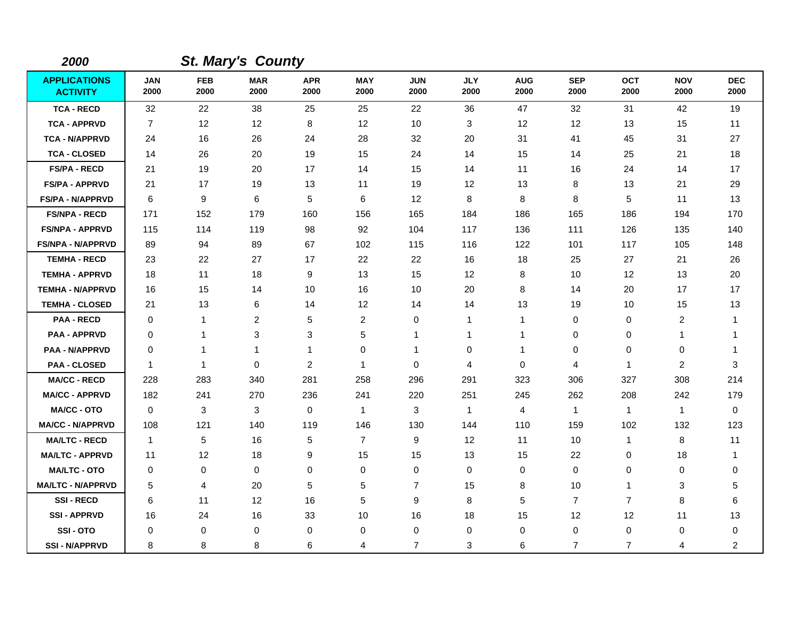| 2000                                   |                    |                    | <b>St. Mary's County</b> |                    |                    |                    |                    |                    |                    |                    |                    |                    |
|----------------------------------------|--------------------|--------------------|--------------------------|--------------------|--------------------|--------------------|--------------------|--------------------|--------------------|--------------------|--------------------|--------------------|
| <b>APPLICATIONS</b><br><b>ACTIVITY</b> | <b>JAN</b><br>2000 | <b>FEB</b><br>2000 | <b>MAR</b><br>2000       | <b>APR</b><br>2000 | <b>MAY</b><br>2000 | <b>JUN</b><br>2000 | <b>JLY</b><br>2000 | <b>AUG</b><br>2000 | <b>SEP</b><br>2000 | <b>OCT</b><br>2000 | <b>NOV</b><br>2000 | <b>DEC</b><br>2000 |
| <b>TCA - RECD</b>                      | 32                 | 22                 | 38                       | 25                 | 25                 | 22                 | 36                 | 47                 | 32                 | 31                 | 42                 | 19                 |
| <b>TCA - APPRVD</b>                    | $\overline{7}$     | 12                 | 12                       | 8                  | 12                 | 10                 | 3                  | 12                 | 12                 | 13                 | 15                 | 11                 |
| <b>TCA - N/APPRVD</b>                  | 24                 | 16                 | 26                       | 24                 | 28                 | 32                 | 20                 | 31                 | 41                 | 45                 | 31                 | 27                 |
| <b>TCA - CLOSED</b>                    | 14                 | 26                 | 20                       | 19                 | 15                 | 24                 | 14                 | 15                 | 14                 | 25                 | 21                 | 18                 |
| <b>FS/PA - RECD</b>                    | 21                 | 19                 | 20                       | 17                 | 14                 | 15                 | 14                 | 11                 | 16                 | 24                 | 14                 | 17                 |
| <b>FS/PA - APPRVD</b>                  | 21                 | 17                 | 19                       | 13                 | 11                 | 19                 | 12                 | 13                 | 8                  | 13                 | 21                 | 29                 |
| <b>FS/PA - N/APPRVD</b>                | 6                  | 9                  | 6                        | 5                  | 6                  | 12                 | 8                  | 8                  | 8                  | 5                  | 11                 | 13                 |
| <b>FS/NPA - RECD</b>                   | 171                | 152                | 179                      | 160                | 156                | 165                | 184                | 186                | 165                | 186                | 194                | 170                |
| <b>FS/NPA - APPRVD</b>                 | 115                | 114                | 119                      | 98                 | 92                 | 104                | 117                | 136                | 111                | 126                | 135                | 140                |
| <b>FS/NPA - N/APPRVD</b>               | 89                 | 94                 | 89                       | 67                 | 102                | 115                | 116                | 122                | 101                | 117                | 105                | 148                |
| <b>TEMHA - RECD</b>                    | 23                 | 22                 | 27                       | 17                 | 22                 | 22                 | 16                 | 18                 | 25                 | 27                 | 21                 | 26                 |
| <b>TEMHA - APPRVD</b>                  | 18                 | 11                 | 18                       | 9                  | 13                 | 15                 | 12                 | 8                  | 10                 | 12                 | 13                 | 20                 |
| <b>TEMHA - N/APPRVD</b>                | 16                 | 15                 | 14                       | 10                 | 16                 | 10                 | 20                 | 8                  | 14                 | 20                 | 17                 | 17                 |
| <b>TEMHA - CLOSED</b>                  | 21                 | 13                 | 6                        | 14                 | 12                 | 14                 | 14                 | 13                 | 19                 | 10                 | 15                 | 13                 |
| <b>PAA - RECD</b>                      | $\mathbf 0$        | 1                  | $\overline{c}$           | 5                  | $\overline{2}$     | $\mathbf 0$        | $\mathbf{1}$       | $\mathbf{1}$       | $\mathbf 0$        | 0                  | $\overline{2}$     | $\mathbf{1}$       |
| <b>PAA - APPRVD</b>                    | 0                  | 1                  | 3                        | 3                  | 5                  | 1                  | 1                  | 1                  | 0                  | 0                  | 1                  | 1                  |
| <b>PAA - N/APPRVD</b>                  | 0                  | 1                  | $\overline{1}$           | 1                  | 0                  | $\mathbf 1$        | 0                  | $\mathbf 1$        | 0                  | 0                  | 0                  | 1                  |
| <b>PAA - CLOSED</b>                    | $\mathbf 1$        | 1                  | $\Omega$                 | $\overline{2}$     | $\mathbf{1}$       | $\Omega$           | 4                  | $\mathbf 0$        | 4                  | 1                  | $\overline{2}$     | 3                  |
| <b>MA/CC - RECD</b>                    | 228                | 283                | 340                      | 281                | 258                | 296                | 291                | 323                | 306                | 327                | 308                | 214                |
| <b>MA/CC - APPRVD</b>                  | 182                | 241                | 270                      | 236                | 241                | 220                | 251                | 245                | 262                | 208                | 242                | 179                |
| <b>MA/CC - OTO</b>                     | $\mathbf 0$        | 3                  | 3                        | 0                  | $\overline{1}$     | 3                  | $\mathbf{1}$       | 4                  | $\mathbf 1$        | $\mathbf{1}$       | $\mathbf{1}$       | $\mathbf 0$        |
| <b>MA/CC - N/APPRVD</b>                | 108                | 121                | 140                      | 119                | 146                | 130                | 144                | 110                | 159                | 102                | 132                | 123                |
| <b>MA/LTC - RECD</b>                   | $\overline{1}$     | 5                  | 16                       | 5                  | $\overline{7}$     | 9                  | 12                 | 11                 | 10                 | $\mathbf{1}$       | 8                  | 11                 |
| <b>MA/LTC - APPRVD</b>                 | 11                 | 12                 | 18                       | 9                  | 15                 | 15                 | 13                 | 15                 | 22                 | 0                  | 18                 | 1                  |
| <b>MA/LTC - OTO</b>                    | $\mathbf 0$        | $\pmb{0}$          | $\mathbf 0$              | $\mathbf 0$        | 0                  | $\mathbf 0$        | 0                  | 0                  | $\mathbf 0$        | 0                  | $\mathbf 0$        | 0                  |
| <b>MA/LTC - N/APPRVD</b>               | 5                  | 4                  | 20                       | 5                  | 5                  | 7                  | 15                 | 8                  | 10                 | $\mathbf{1}$       | 3                  | 5                  |
| <b>SSI-RECD</b>                        | 6                  | 11                 | 12                       | 16                 | 5                  | 9                  | 8                  | 5                  | $\overline{7}$     | $\overline{7}$     | 8                  | 6                  |
| <b>SSI - APPRVD</b>                    | 16                 | 24                 | 16                       | 33                 | 10                 | 16                 | 18                 | 15                 | 12                 | 12                 | 11                 | 13                 |
| SSI-OTO                                | 0                  | 0                  | $\mathbf 0$              | 0                  | 0                  | $\mathbf 0$        | 0                  | 0                  | $\mathbf 0$        | 0                  | 0                  | 0                  |
| <b>SSI - N/APPRVD</b>                  | 8                  | 8                  | 8                        | 6                  | 4                  | 7                  | 3                  | 6                  | 7                  | $\overline{7}$     | 4                  | 2                  |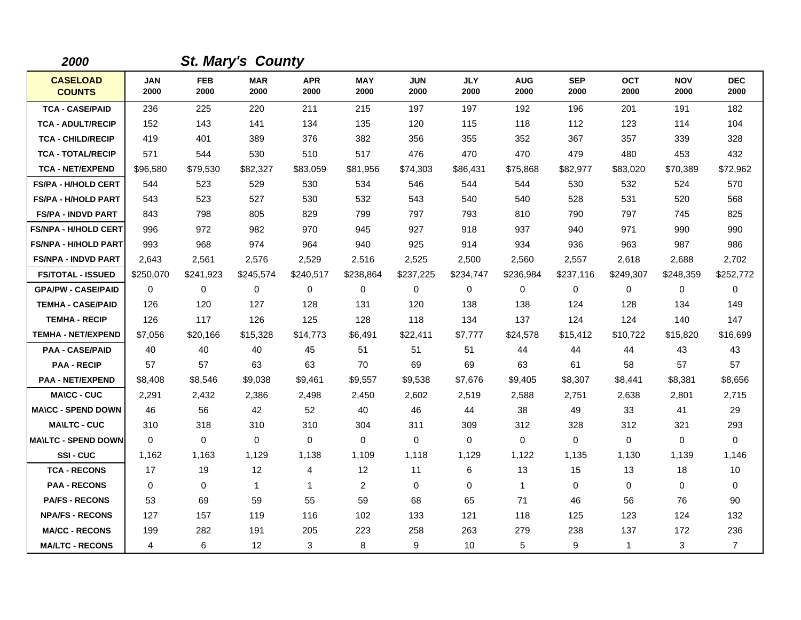| 2000                             |                    |                    | <b>St. Mary's County</b> |                    |                    |                    |                    |                    |                    |                    |                    |                    |
|----------------------------------|--------------------|--------------------|--------------------------|--------------------|--------------------|--------------------|--------------------|--------------------|--------------------|--------------------|--------------------|--------------------|
| <b>CASELOAD</b><br><b>COUNTS</b> | <b>JAN</b><br>2000 | <b>FEB</b><br>2000 | <b>MAR</b><br>2000       | <b>APR</b><br>2000 | <b>MAY</b><br>2000 | <b>JUN</b><br>2000 | <b>JLY</b><br>2000 | <b>AUG</b><br>2000 | <b>SEP</b><br>2000 | <b>OCT</b><br>2000 | <b>NOV</b><br>2000 | <b>DEC</b><br>2000 |
| <b>TCA - CASE/PAID</b>           | 236                | 225                | 220                      | 211                | 215                | 197                | 197                | 192                | 196                | 201                | 191                | 182                |
| <b>TCA - ADULT/RECIP</b>         | 152                | 143                | 141                      | 134                | 135                | 120                | 115                | 118                | 112                | 123                | 114                | 104                |
| <b>TCA - CHILD/RECIP</b>         | 419                | 401                | 389                      | 376                | 382                | 356                | 355                | 352                | 367                | 357                | 339                | 328                |
| <b>TCA - TOTAL/RECIP</b>         | 571                | 544                | 530                      | 510                | 517                | 476                | 470                | 470                | 479                | 480                | 453                | 432                |
| <b>TCA - NET/EXPEND</b>          | \$96,580           | \$79,530           | \$82,327                 | \$83,059           | \$81,956           | \$74,303           | \$86,431           | \$75,868           | \$82,977           | \$83,020           | \$70,389           | \$72,962           |
| <b>FS/PA - H/HOLD CERT</b>       | 544                | 523                | 529                      | 530                | 534                | 546                | 544                | 544                | 530                | 532                | 524                | 570                |
| <b>FS/PA - H/HOLD PART</b>       | 543                | 523                | 527                      | 530                | 532                | 543                | 540                | 540                | 528                | 531                | 520                | 568                |
| <b>FS/PA - INDVD PART</b>        | 843                | 798                | 805                      | 829                | 799                | 797                | 793                | 810                | 790                | 797                | 745                | 825                |
| <b>FS/NPA - H/HOLD CERT</b>      | 996                | 972                | 982                      | 970                | 945                | 927                | 918                | 937                | 940                | 971                | 990                | 990                |
| <b>FS/NPA - H/HOLD PART</b>      | 993                | 968                | 974                      | 964                | 940                | 925                | 914                | 934                | 936                | 963                | 987                | 986                |
| <b>FS/NPA - INDVD PART</b>       | 2,643              | 2,561              | 2,576                    | 2,529              | 2,516              | 2,525              | 2,500              | 2,560              | 2,557              | 2,618              | 2,688              | 2,702              |
| <b>FS/TOTAL - ISSUED</b>         | \$250,070          | \$241,923          | \$245,574                | \$240,517          | \$238,864          | \$237,225          | \$234,747          | \$236,984          | \$237,116          | \$249,307          | \$248,359          | \$252,772          |
| <b>GPA/PW - CASE/PAID</b>        | $\mathbf 0$        | 0                  | $\mathbf 0$              | 0                  | 0                  | 0                  | $\mathbf 0$        | 0                  | 0                  | 0                  | 0                  | 0                  |
| <b>TEMHA - CASE/PAID</b>         | 126                | 120                | 127                      | 128                | 131                | 120                | 138                | 138                | 124                | 128                | 134                | 149                |
| <b>TEMHA - RECIP</b>             | 126                | 117                | 126                      | 125                | 128                | 118                | 134                | 137                | 124                | 124                | 140                | 147                |
| <b>TEMHA - NET/EXPEND</b>        | \$7,056            | \$20,166           | \$15,328                 | \$14,773           | \$6,491            | \$22,411           | \$7,777            | \$24,578           | \$15,412           | \$10,722           | \$15,820           | \$16,699           |
| <b>PAA - CASE/PAID</b>           | 40                 | 40                 | 40                       | 45                 | 51                 | 51                 | 51                 | 44                 | 44                 | 44                 | 43                 | 43                 |
| <b>PAA - RECIP</b>               | 57                 | 57                 | 63                       | 63                 | 70                 | 69                 | 69                 | 63                 | 61                 | 58                 | 57                 | 57                 |
| <b>PAA - NET/EXPEND</b>          | \$8,408            | \$8,546            | \$9,038                  | \$9,461            | \$9,557            | \$9,538            | \$7,676            | \$9,405            | \$8,307            | \$8,441            | \$8,381            | \$8,656            |
| <b>MA\CC - CUC</b>               | 2,291              | 2,432              | 2,386                    | 2,498              | 2,450              | 2,602              | 2,519              | 2,588              | 2,751              | 2,638              | 2,801              | 2,715              |
| <b>MA\CC - SPEND DOWN</b>        | 46                 | 56                 | 42                       | 52                 | 40                 | 46                 | 44                 | 38                 | 49                 | 33                 | 41                 | 29                 |
| <b>MAILTC - CUC</b>              | 310                | 318                | 310                      | 310                | 304                | 311                | 309                | 312                | 328                | 312                | 321                | 293                |
| <b>MA\LTC - SPEND DOWN</b>       | $\mathbf 0$        | 0                  | $\mathbf 0$              | 0                  | 0                  | $\mathbf 0$        | $\mathbf 0$        | 0                  | 0                  | 0                  | 0                  | 0                  |
| <b>SSI-CUC</b>                   | 1,162              | 1,163              | 1,129                    | 1,138              | 1,109              | 1,118              | 1,129              | 1,122              | 1,135              | 1,130              | 1,139              | 1,146              |
| <b>TCA - RECONS</b>              | 17                 | 19                 | 12                       | 4                  | 12                 | 11                 | 6                  | 13                 | 15                 | 13                 | 18                 | 10                 |
| <b>PAA - RECONS</b>              | $\mathbf 0$        | 0                  | $\mathbf{1}$             | 1                  | 2                  | 0                  | 0                  | $\mathbf{1}$       | 0                  | 0                  | 0                  | 0                  |
| <b>PA/FS - RECONS</b>            | 53                 | 69                 | 59                       | 55                 | 59                 | 68                 | 65                 | 71                 | 46                 | 56                 | 76                 | 90                 |
| <b>NPA/FS - RECONS</b>           | 127                | 157                | 119                      | 116                | 102                | 133                | 121                | 118                | 125                | 123                | 124                | 132                |
| <b>MA/CC - RECONS</b>            | 199                | 282                | 191                      | 205                | 223                | 258                | 263                | 279                | 238                | 137                | 172                | 236                |
| <b>MA/LTC - RECONS</b>           | 4                  | 6                  | 12                       | 3                  | 8                  | 9                  | 10                 | 5                  | 9                  | $\mathbf{1}$       | 3                  | $\overline{7}$     |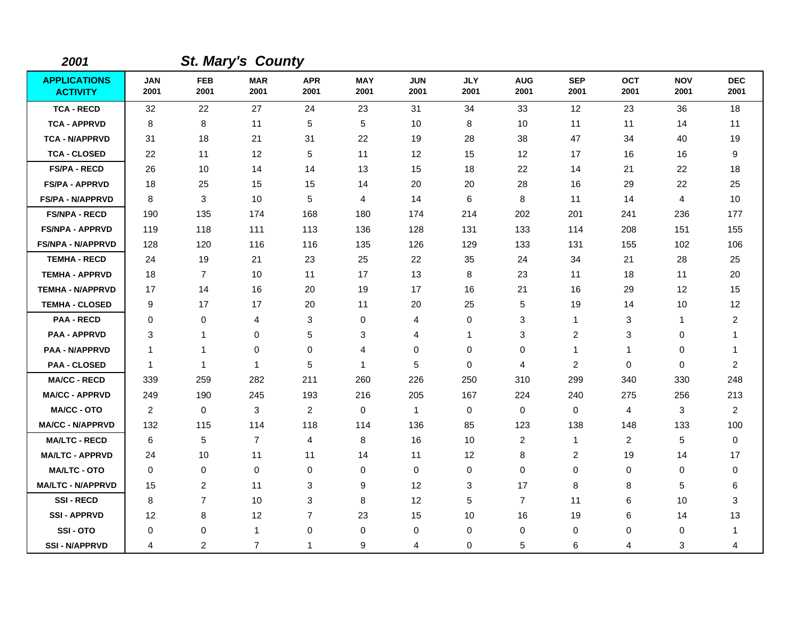| 2001                                   |                    |                    | <b>St. Mary's County</b> |                    |                    |                    |                    |                    |                    |                    |                    |                    |
|----------------------------------------|--------------------|--------------------|--------------------------|--------------------|--------------------|--------------------|--------------------|--------------------|--------------------|--------------------|--------------------|--------------------|
| <b>APPLICATIONS</b><br><b>ACTIVITY</b> | <b>JAN</b><br>2001 | <b>FEB</b><br>2001 | <b>MAR</b><br>2001       | <b>APR</b><br>2001 | <b>MAY</b><br>2001 | <b>JUN</b><br>2001 | <b>JLY</b><br>2001 | <b>AUG</b><br>2001 | <b>SEP</b><br>2001 | <b>OCT</b><br>2001 | <b>NOV</b><br>2001 | <b>DEC</b><br>2001 |
| <b>TCA - RECD</b>                      | 32                 | 22                 | 27                       | 24                 | 23                 | 31                 | 34                 | 33                 | 12                 | 23                 | 36                 | 18                 |
| <b>TCA - APPRVD</b>                    | 8                  | 8                  | 11                       | 5                  | 5                  | 10                 | 8                  | 10                 | 11                 | 11                 | 14                 | 11                 |
| <b>TCA - N/APPRVD</b>                  | 31                 | 18                 | 21                       | 31                 | 22                 | 19                 | 28                 | 38                 | 47                 | 34                 | 40                 | 19                 |
| <b>TCA - CLOSED</b>                    | 22                 | 11                 | 12                       | 5                  | 11                 | 12                 | 15                 | 12                 | 17                 | 16                 | 16                 | 9                  |
| <b>FS/PA - RECD</b>                    | 26                 | 10                 | 14                       | 14                 | 13                 | 15                 | 18                 | 22                 | 14                 | 21                 | 22                 | 18                 |
| <b>FS/PA - APPRVD</b>                  | 18                 | 25                 | 15                       | 15                 | 14                 | 20                 | 20                 | 28                 | 16                 | 29                 | 22                 | 25                 |
| <b>FS/PA - N/APPRVD</b>                | 8                  | 3                  | 10                       | 5                  | 4                  | 14                 | 6                  | 8                  | 11                 | 14                 | 4                  | 10                 |
| <b>FS/NPA - RECD</b>                   | 190                | 135                | 174                      | 168                | 180                | 174                | 214                | 202                | 201                | 241                | 236                | 177                |
| <b>FS/NPA - APPRVD</b>                 | 119                | 118                | 111                      | 113                | 136                | 128                | 131                | 133                | 114                | 208                | 151                | 155                |
| <b>FS/NPA - N/APPRVD</b>               | 128                | 120                | 116                      | 116                | 135                | 126                | 129                | 133                | 131                | 155                | 102                | 106                |
| <b>TEMHA - RECD</b>                    | 24                 | 19                 | 21                       | 23                 | 25                 | 22                 | 35                 | 24                 | 34                 | 21                 | 28                 | 25                 |
| <b>TEMHA - APPRVD</b>                  | 18                 | $\overline{7}$     | 10                       | 11                 | 17                 | 13                 | 8                  | 23                 | 11                 | 18                 | 11                 | 20                 |
| <b>TEMHA - N/APPRVD</b>                | 17                 | 14                 | 16                       | 20                 | 19                 | 17                 | 16                 | 21                 | 16                 | 29                 | 12                 | 15                 |
| <b>TEMHA - CLOSED</b>                  | 9                  | 17                 | 17                       | 20                 | 11                 | 20                 | 25                 | 5                  | 19                 | 14                 | 10                 | 12                 |
| <b>PAA - RECD</b>                      | 0                  | 0                  | 4                        | 3                  | 0                  | 4                  | 0                  | 3                  | $\mathbf{1}$       | 3                  | $\mathbf{1}$       | $\overline{c}$     |
| <b>PAA - APPRVD</b>                    | 3                  | 1                  | 0                        | 5                  | 3                  | 4                  | 1                  | 3                  | 2                  | 3                  | $\mathbf 0$        | 1                  |
| <b>PAA - N/APPRVD</b>                  | $\overline{1}$     | 1                  | 0                        | $\mathbf 0$        | 4                  | $\mathbf 0$        | $\mathbf 0$        | 0                  | $\mathbf{1}$       | 1                  | $\mathbf 0$        | 1                  |
| <b>PAA - CLOSED</b>                    | $\mathbf 1$        | 1                  | $\mathbf{1}$             | 5                  | 1                  | 5                  | 0                  | 4                  | 2                  | 0                  | $\mathbf 0$        | $\overline{2}$     |
| <b>MA/CC - RECD</b>                    | 339                | 259                | 282                      | 211                | 260                | 226                | 250                | 310                | 299                | 340                | 330                | 248                |
| <b>MA/CC - APPRVD</b>                  | 249                | 190                | 245                      | 193                | 216                | 205                | 167                | 224                | 240                | 275                | 256                | 213                |
| <b>MA/CC - OTO</b>                     | $\overline{2}$     | 0                  | 3                        | $\overline{2}$     | $\pmb{0}$          | $\mathbf{1}$       | 0                  | $\mathbf 0$        | 0                  | 4                  | 3                  | $\overline{2}$     |
| <b>MA/CC - N/APPRVD</b>                | 132                | 115                | 114                      | 118                | 114                | 136                | 85                 | 123                | 138                | 148                | 133                | 100                |
| <b>MA/LTC - RECD</b>                   | 6                  | 5                  | $\overline{7}$           | 4                  | 8                  | 16                 | 10                 | $\overline{c}$     | $\mathbf 1$        | $\overline{2}$     | 5                  | $\mathbf 0$        |
| <b>MA/LTC - APPRVD</b>                 | 24                 | 10                 | 11                       | 11                 | 14                 | 11                 | 12                 | 8                  | 2                  | 19                 | 14                 | 17                 |
| <b>MA/LTC - OTO</b>                    | $\mathbf 0$        | 0                  | $\mathbf 0$              | 0                  | 0                  | 0                  | 0                  | 0                  | 0                  | 0                  | 0                  | 0                  |
| <b>MA/LTC - N/APPRVD</b>               | 15                 | $\overline{c}$     | 11                       | 3                  | 9                  | 12                 | 3                  | 17                 | 8                  | 8                  | 5                  | 6                  |
| <b>SSI-RECD</b>                        | 8                  | $\overline{7}$     | 10                       | 3                  | 8                  | 12                 | 5                  | $\overline{7}$     | 11                 | 6                  | 10                 | 3                  |
| <b>SSI-APPRVD</b>                      | 12                 | 8                  | 12                       | 7                  | 23                 | 15                 | 10                 | 16                 | 19                 | 6                  | 14                 | 13                 |
| SSI-OTO                                | 0                  | 0                  | $\overline{1}$           | $\mathbf 0$        | $\pmb{0}$          | 0                  | $\mathbf 0$        | 0                  | $\mathbf 0$        | 0                  | $\mathbf 0$        | 1                  |
| <b>SSI - N/APPRVD</b>                  | 4                  | $\overline{c}$     | $\overline{7}$           | 1                  | 9                  | 4                  | 0                  | 5                  | 6                  | 4                  | 3                  | 4                  |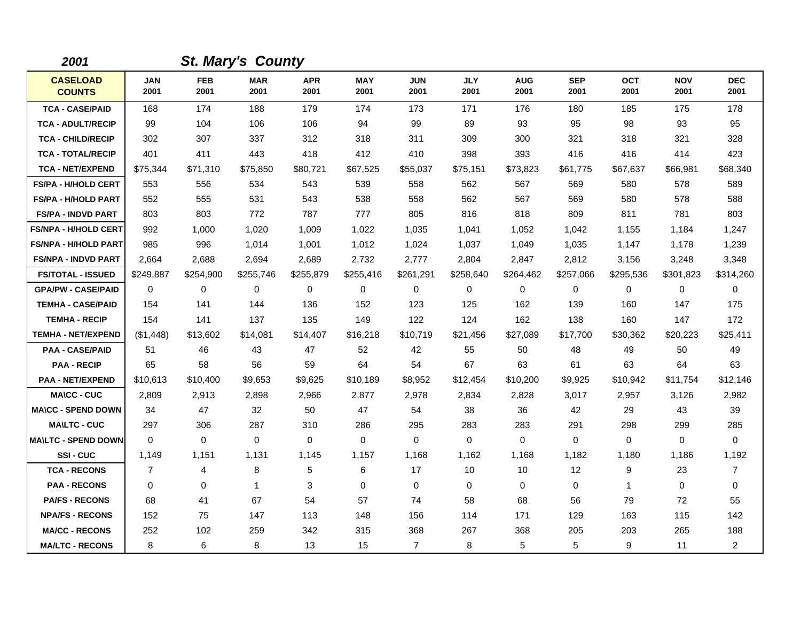| 2001                             |                    |                    | <b>St. Mary's County</b> |                    |                    |                    |                    |                    |                    |                    |                    |                    |
|----------------------------------|--------------------|--------------------|--------------------------|--------------------|--------------------|--------------------|--------------------|--------------------|--------------------|--------------------|--------------------|--------------------|
| <b>CASELOAD</b><br><b>COUNTS</b> | <b>JAN</b><br>2001 | <b>FEB</b><br>2001 | <b>MAR</b><br>2001       | <b>APR</b><br>2001 | <b>MAY</b><br>2001 | <b>JUN</b><br>2001 | <b>JLY</b><br>2001 | <b>AUG</b><br>2001 | <b>SEP</b><br>2001 | <b>OCT</b><br>2001 | <b>NOV</b><br>2001 | <b>DEC</b><br>2001 |
| <b>TCA - CASE/PAID</b>           | 168                | 174                | 188                      | 179                | 174                | 173                | 171                | 176                | 180                | 185                | 175                | 178                |
| <b>TCA - ADULT/RECIP</b>         | 99                 | 104                | 106                      | 106                | 94                 | 99                 | 89                 | 93                 | 95                 | 98                 | 93                 | 95                 |
| <b>TCA - CHILD/RECIP</b>         | 302                | 307                | 337                      | 312                | 318                | 311                | 309                | 300                | 321                | 318                | 321                | 328                |
| <b>TCA - TOTAL/RECIP</b>         | 401                | 411                | 443                      | 418                | 412                | 410                | 398                | 393                | 416                | 416                | 414                | 423                |
| <b>TCA - NET/EXPEND</b>          | \$75,344           | \$71,310           | \$75,850                 | \$80,721           | \$67,525           | \$55,037           | \$75,151           | \$73,823           | \$61,775           | \$67,637           | \$66,981           | \$68,340           |
| <b>FS/PA - H/HOLD CERT</b>       | 553                | 556                | 534                      | 543                | 539                | 558                | 562                | 567                | 569                | 580                | 578                | 589                |
| <b>FS/PA - H/HOLD PART</b>       | 552                | 555                | 531                      | 543                | 538                | 558                | 562                | 567                | 569                | 580                | 578                | 588                |
| <b>FS/PA - INDVD PART</b>        | 803                | 803                | 772                      | 787                | 777                | 805                | 816                | 818                | 809                | 811                | 781                | 803                |
| <b>FS/NPA - H/HOLD CERT</b>      | 992                | 1,000              | 1,020                    | 1,009              | 1,022              | 1,035              | 1.041              | 1,052              | 1,042              | 1,155              | 1,184              | 1,247              |
| <b>FS/NPA - H/HOLD PART</b>      | 985                | 996                | 1,014                    | 1,001              | 1,012              | 1,024              | 1,037              | 1,049              | 1,035              | 1.147              | 1,178              | 1,239              |
| <b>FS/NPA - INDVD PART</b>       | 2,664              | 2,688              | 2,694                    | 2,689              | 2,732              | 2,777              | 2,804              | 2,847              | 2,812              | 3,156              | 3,248              | 3,348              |
| <b>FS/TOTAL - ISSUED</b>         | \$249,887          | \$254,900          | \$255,746                | \$255,879          | \$255,416          | \$261,291          | \$258,640          | \$264,462          | \$257,066          | \$295,536          | \$301,823          | \$314,260          |
| <b>GPA/PW - CASE/PAID</b>        | 0                  | 0                  | $\mathbf 0$              | 0                  | 0                  | 0                  | $\mathbf 0$        | 0                  | 0                  | 0                  | 0                  | 0                  |
| <b>TEMHA - CASE/PAID</b>         | 154                | 141                | 144                      | 136                | 152                | 123                | 125                | 162                | 139                | 160                | 147                | 175                |
| <b>TEMHA - RECIP</b>             | 154                | 141                | 137                      | 135                | 149                | 122                | 124                | 162                | 138                | 160                | 147                | 172                |
| <b>TEMHA - NET/EXPEND</b>        | (\$1,448)          | \$13,602           | \$14,081                 | \$14,407           | \$16,218           | \$10,719           | \$21,456           | \$27,089           | \$17,700           | \$30,362           | \$20,223           | \$25,411           |
| <b>PAA - CASE/PAID</b>           | 51                 | 46                 | 43                       | 47                 | 52                 | 42                 | 55                 | 50                 | 48                 | 49                 | 50                 | 49                 |
| <b>PAA - RECIP</b>               | 65                 | 58                 | 56                       | 59                 | 64                 | 54                 | 67                 | 63                 | 61                 | 63                 | 64                 | 63                 |
| <b>PAA - NET/EXPEND</b>          | \$10,613           | \$10,400           | \$9,653                  | \$9,625            | \$10,189           | \$8,952            | \$12,454           | \$10,200           | \$9,925            | \$10,942           | \$11,754           | \$12,146           |
| <b>MA\CC - CUC</b>               | 2,809              | 2,913              | 2,898                    | 2,966              | 2,877              | 2,978              | 2,834              | 2,828              | 3,017              | 2,957              | 3,126              | 2,982              |
| <b>MA\CC - SPEND DOWN</b>        | 34                 | 47                 | 32                       | 50                 | 47                 | 54                 | 38                 | 36                 | 42                 | 29                 | 43                 | 39                 |
| <b>MAILTC - CUC</b>              | 297                | 306                | 287                      | 310                | 286                | 295                | 283                | 283                | 291                | 298                | 299                | 285                |
| <b>MA\LTC - SPEND DOWN</b>       | $\mathbf 0$        | 0                  | $\mathbf 0$              | 0                  | 0                  | $\mathbf 0$        | $\mathbf 0$        | 0                  | 0                  | 0                  | 0                  | 0                  |
| <b>SSI-CUC</b>                   | 1,149              | 1,151              | 1,131                    | 1,145              | 1,157              | 1,168              | 1,162              | 1,168              | 1,182              | 1,180              | 1,186              | 1,192              |
| <b>TCA - RECONS</b>              | $\overline{7}$     | 4                  | 8                        | 5                  | 6                  | 17                 | 10                 | 10                 | 12                 | 9                  | 23                 | 7                  |
| <b>PAA - RECONS</b>              | $\mathbf 0$        | 0                  | 1                        | 3                  | 0                  | 0                  | $\mathbf 0$        | 0                  | 0                  | 1                  | 0                  | 0                  |
| <b>PA/FS - RECONS</b>            | 68                 | 41                 | 67                       | 54                 | 57                 | 74                 | 58                 | 68                 | 56                 | 79                 | 72                 | 55                 |
| <b>NPA/FS - RECONS</b>           | 152                | 75                 | 147                      | 113                | 148                | 156                | 114                | 171                | 129                | 163                | 115                | 142                |
| <b>MA/CC - RECONS</b>            | 252                | 102                | 259                      | 342                | 315                | 368                | 267                | 368                | 205                | 203                | 265                | 188                |
| <b>MA/LTC - RECONS</b>           | 8                  | 6                  | 8                        | 13                 | 15                 | $\overline{7}$     | 8                  | 5                  | 5                  | 9                  | 11                 | $\overline{a}$     |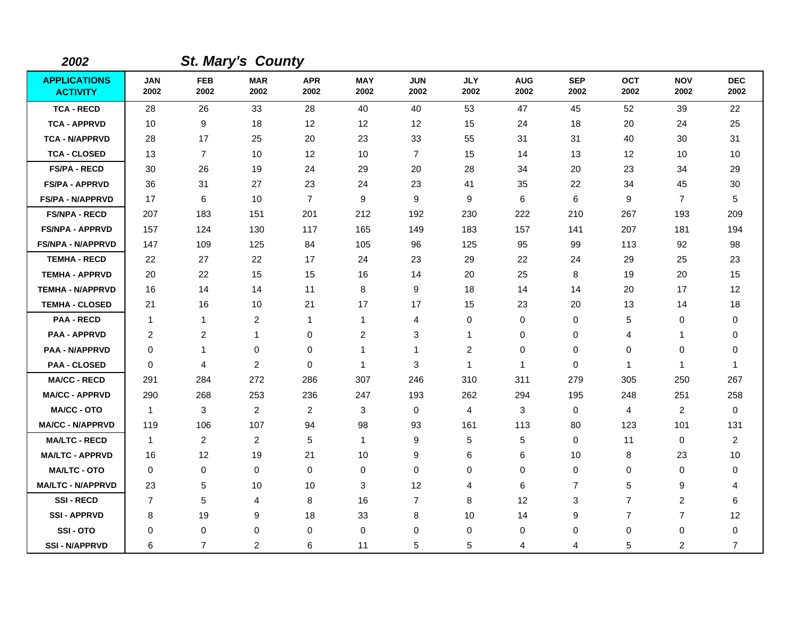| 2002                                   |                         |                    | <b>St. Mary's County</b> |                    |                    |                    |                    |                    |                    |             |                    |                    |
|----------------------------------------|-------------------------|--------------------|--------------------------|--------------------|--------------------|--------------------|--------------------|--------------------|--------------------|-------------|--------------------|--------------------|
| <b>APPLICATIONS</b><br><b>ACTIVITY</b> | <b>JAN</b><br>2002      | <b>FEB</b><br>2002 | <b>MAR</b><br>2002       | <b>APR</b><br>2002 | <b>MAY</b><br>2002 | <b>JUN</b><br>2002 | <b>JLY</b><br>2002 | <b>AUG</b><br>2002 | <b>SEP</b><br>2002 | OCT<br>2002 | <b>NOV</b><br>2002 | <b>DEC</b><br>2002 |
| <b>TCA - RECD</b>                      | 28                      | 26                 | 33                       | 28                 | 40                 | 40                 | 53                 | 47                 | 45                 | 52          | 39                 | 22                 |
| <b>TCA - APPRVD</b>                    | 10                      | 9                  | 18                       | 12 <sup>2</sup>    | 12                 | 12                 | 15                 | 24                 | 18                 | 20          | 24                 | 25                 |
| <b>TCA - N/APPRVD</b>                  | 28                      | 17                 | 25                       | 20                 | 23                 | 33                 | 55                 | 31                 | 31                 | 40          | 30                 | 31                 |
| <b>TCA - CLOSED</b>                    | 13                      | $\overline{7}$     | 10                       | 12                 | 10                 | $\overline{7}$     | 15                 | 14                 | 13                 | 12          | 10                 | 10                 |
| <b>FS/PA - RECD</b>                    | 30                      | 26                 | 19                       | 24                 | 29                 | 20                 | 28                 | 34                 | 20                 | 23          | 34                 | 29                 |
| <b>FS/PA - APPRVD</b>                  | 36                      | 31                 | 27                       | 23                 | 24                 | 23                 | 41                 | 35                 | 22                 | 34          | 45                 | 30                 |
| <b>FS/PA - N/APPRVD</b>                | 17                      | 6                  | 10                       | $\overline{7}$     | 9                  | 9                  | 9                  | 6                  | 6                  | 9           | $\overline{7}$     | 5                  |
| <b>FS/NPA - RECD</b>                   | 207                     | 183                | 151                      | 201                | 212                | 192                | 230                | 222                | 210                | 267         | 193                | 209                |
| <b>FS/NPA - APPRVD</b>                 | 157                     | 124                | 130                      | 117                | 165                | 149                | 183                | 157                | 141                | 207         | 181                | 194                |
| <b>FS/NPA - N/APPRVD</b>               | 147                     | 109                | 125                      | 84                 | 105                | 96                 | 125                | 95                 | 99                 | 113         | 92                 | 98                 |
| <b>TEMHA - RECD</b>                    | 22                      | 27                 | 22                       | 17                 | 24                 | 23                 | 29                 | 22                 | 24                 | 29          | 25                 | 23                 |
| <b>TEMHA - APPRVD</b>                  | 20                      | 22                 | 15                       | 15                 | 16                 | 14                 | 20                 | 25                 | 8                  | 19          | 20                 | 15                 |
| <b>TEMHA - N/APPRVD</b>                | 16                      | 14                 | 14                       | 11                 | 8                  | 9                  | 18                 | 14                 | 14                 | 20          | 17                 | 12                 |
| <b>TEMHA - CLOSED</b>                  | 21                      | 16                 | 10                       | 21                 | 17                 | 17                 | 15                 | 23                 | 20                 | 13          | 14                 | 18                 |
| <b>PAA - RECD</b>                      | $\overline{1}$          | $\mathbf{1}$       | $\overline{2}$           | $\mathbf{1}$       | $\mathbf{1}$       | 4                  | $\mathbf 0$        | 0                  | $\mathbf 0$        | 5           | 0                  | 0                  |
| <b>PAA - APPRVD</b>                    | $\overline{\mathbf{c}}$ | 2                  | 1                        | 0                  | $\overline{c}$     | 3                  | 1                  | 0                  | $\mathbf 0$        | 4           | $\mathbf{1}$       | 0                  |
| <b>PAA - N/APPRVD</b>                  | $\Omega$                | 1                  | 0                        | 0                  | 1                  | 1                  | 2                  | 0                  | 0                  | 0           | 0                  | 0                  |
| <b>PAA - CLOSED</b>                    | $\Omega$                | 4                  | $\overline{c}$           | $\mathbf 0$        | $\overline{1}$     | 3                  | $\mathbf{1}$       | 1                  | $\Omega$           | 1           | $\mathbf{1}$       | 1                  |
| <b>MA/CC - RECD</b>                    | 291                     | 284                | 272                      | 286                | 307                | 246                | 310                | 311                | 279                | 305         | 250                | 267                |
| <b>MA/CC - APPRVD</b>                  | 290                     | 268                | 253                      | 236                | 247                | 193                | 262                | 294                | 195                | 248         | 251                | 258                |
| <b>MA/CC - OTO</b>                     | $\overline{1}$          | 3                  | $\overline{2}$           | $\overline{2}$     | 3                  | $\mathbf 0$        | $\overline{4}$     | 3                  | 0                  | 4           | $\overline{2}$     | $\Omega$           |
| <b>MA/CC - N/APPRVD</b>                | 119                     | 106                | 107                      | 94                 | 98                 | 93                 | 161                | 113                | 80                 | 123         | 101                | 131                |
| <b>MA/LTC - RECD</b>                   | $\overline{1}$          | 2                  | $\overline{2}$           | 5                  | $\mathbf{1}$       | 9                  | 5                  | 5                  | 0                  | 11          | 0                  | $\overline{2}$     |
| <b>MA/LTC - APPRVD</b>                 | 16                      | 12                 | 19                       | 21                 | 10                 | 9                  | 6                  | 6                  | 10                 | 8           | 23                 | 10                 |
| <b>MA/LTC - OTO</b>                    | $\mathbf 0$             | 0                  | $\mathbf 0$              | 0                  | 0                  | $\mathbf 0$        | $\mathbf 0$        | 0                  | $\mathbf 0$        | 0           | 0                  | 0                  |
| <b>MA/LTC - N/APPRVD</b>               | 23                      | 5                  | 10                       | 10                 | 3                  | 12                 | 4                  | 6                  | 7                  | 5           | 9                  | 4                  |
| <b>SSI-RECD</b>                        | 7                       | 5                  | 4                        | 8                  | 16                 | $\overline{7}$     | 8                  | 12                 | 3                  | 7           | $\overline{c}$     | 6                  |
| <b>SSI-APPRVD</b>                      | 8                       | 19                 | 9                        | 18                 | 33                 | 8                  | 10                 | 14                 | 9                  | 7           | $\overline{7}$     | 12                 |
| SSI-OTO                                | 0                       | 0                  | 0                        | 0                  | 0                  | $\mathbf 0$        | $\mathbf 0$        | 0                  | $\mathbf 0$        | 0           | 0                  | 0                  |
| <b>SSI-N/APPRVD</b>                    | 6                       | $\overline{7}$     | $\overline{c}$           | 6                  | 11                 | 5                  | 5                  | 4                  | $\overline{4}$     | 5           | 2                  | $\overline{7}$     |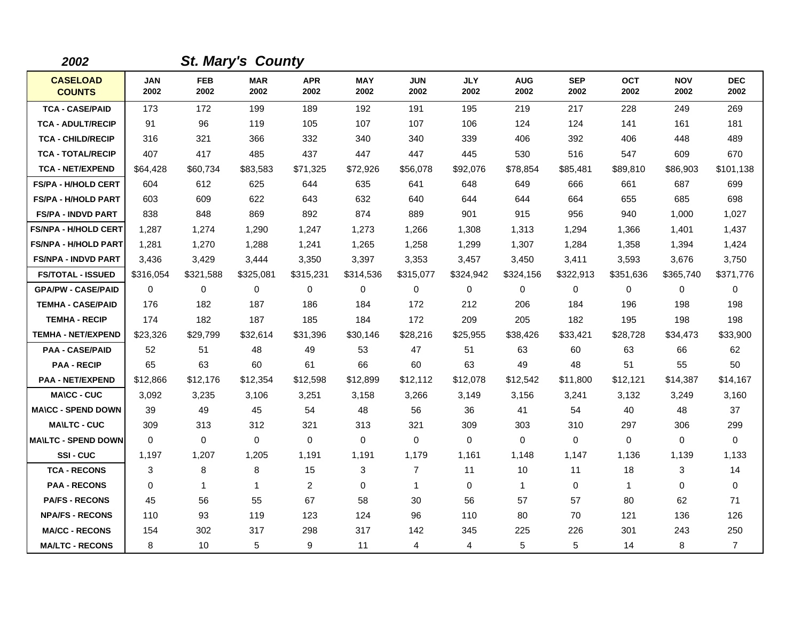| 2002                             |                    |                    | <b>St. Mary's County</b> |                    |                    |                    |                    |                    |                    |                    |                    |                    |
|----------------------------------|--------------------|--------------------|--------------------------|--------------------|--------------------|--------------------|--------------------|--------------------|--------------------|--------------------|--------------------|--------------------|
| <b>CASELOAD</b><br><b>COUNTS</b> | <b>JAN</b><br>2002 | <b>FEB</b><br>2002 | <b>MAR</b><br>2002       | <b>APR</b><br>2002 | <b>MAY</b><br>2002 | <b>JUN</b><br>2002 | <b>JLY</b><br>2002 | <b>AUG</b><br>2002 | <b>SEP</b><br>2002 | <b>OCT</b><br>2002 | <b>NOV</b><br>2002 | <b>DEC</b><br>2002 |
| <b>TCA - CASE/PAID</b>           | 173                | 172                | 199                      | 189                | 192                | 191                | 195                | 219                | 217                | 228                | 249                | 269                |
| <b>TCA - ADULT/RECIP</b>         | 91                 | 96                 | 119                      | 105                | 107                | 107                | 106                | 124                | 124                | 141                | 161                | 181                |
| <b>TCA - CHILD/RECIP</b>         | 316                | 321                | 366                      | 332                | 340                | 340                | 339                | 406                | 392                | 406                | 448                | 489                |
| <b>TCA - TOTAL/RECIP</b>         | 407                | 417                | 485                      | 437                | 447                | 447                | 445                | 530                | 516                | 547                | 609                | 670                |
| <b>TCA - NET/EXPEND</b>          | \$64,428           | \$60,734           | \$83,583                 | \$71,325           | \$72,926           | \$56,078           | \$92,076           | \$78,854           | \$85,481           | \$89,810           | \$86,903           | \$101,138          |
| <b>FS/PA - H/HOLD CERT</b>       | 604                | 612                | 625                      | 644                | 635                | 641                | 648                | 649                | 666                | 661                | 687                | 699                |
| <b>FS/PA - H/HOLD PART</b>       | 603                | 609                | 622                      | 643                | 632                | 640                | 644                | 644                | 664                | 655                | 685                | 698                |
| <b>FS/PA - INDVD PART</b>        | 838                | 848                | 869                      | 892                | 874                | 889                | 901                | 915                | 956                | 940                | 1,000              | 1,027              |
| <b>FS/NPA - H/HOLD CERT</b>      | 1,287              | 1,274              | 1,290                    | 1,247              | 1,273              | 1,266              | 1,308              | 1,313              | 1,294              | 1,366              | 1,401              | 1,437              |
| <b>FS/NPA - H/HOLD PART</b>      | 1,281              | 1.270              | 1.288                    | 1,241              | 1,265              | 1,258              | 1,299              | 1,307              | 1.284              | 1.358              | 1,394              | 1,424              |
| <b>FS/NPA - INDVD PART</b>       | 3,436              | 3,429              | 3,444                    | 3,350              | 3,397              | 3,353              | 3,457              | 3,450              | 3,411              | 3,593              | 3,676              | 3,750              |
| <b>FS/TOTAL - ISSUED</b>         | \$316,054          | \$321,588          | \$325,081                | \$315,231          | \$314,536          | \$315,077          | \$324,942          | \$324,156          | \$322,913          | \$351,636          | \$365,740          | \$371,776          |
| <b>GPA/PW - CASE/PAID</b>        | $\Omega$           | $\Omega$           | $\mathbf{0}$             | $\Omega$           | 0                  | $\Omega$           | 0                  | $\Omega$           | $\Omega$           | $\Omega$           | 0                  | $\Omega$           |
| <b>TEMHA - CASE/PAID</b>         | 176                | 182                | 187                      | 186                | 184                | 172                | 212                | 206                | 184                | 196                | 198                | 198                |
| <b>TEMHA - RECIP</b>             | 174                | 182                | 187                      | 185                | 184                | 172                | 209                | 205                | 182                | 195                | 198                | 198                |
| <b>TEMHA - NET/EXPEND</b>        | \$23,326           | \$29,799           | \$32,614                 | \$31,396           | \$30,146           | \$28,216           | \$25,955           | \$38,426           | \$33,421           | \$28,728           | \$34,473           | \$33,900           |
| <b>PAA - CASE/PAID</b>           | 52                 | 51                 | 48                       | 49                 | 53                 | 47                 | 51                 | 63                 | 60                 | 63                 | 66                 | 62                 |
| <b>PAA - RECIP</b>               | 65                 | 63                 | 60                       | 61                 | 66                 | 60                 | 63                 | 49                 | 48                 | 51                 | 55                 | 50                 |
| <b>PAA - NET/EXPEND</b>          | \$12,866           | \$12,176           | \$12,354                 | \$12,598           | \$12,899           | \$12,112           | \$12,078           | \$12,542           | \$11,800           | \$12,121           | \$14,387           | \$14,167           |
| <b>MA\CC - CUC</b>               | 3.092              | 3,235              | 3,106                    | 3,251              | 3,158              | 3,266              | 3,149              | 3,156              | 3,241              | 3,132              | 3,249              | 3,160              |
| <b>MA\CC - SPEND DOWN</b>        | 39                 | 49                 | 45                       | 54                 | 48                 | 56                 | 36                 | 41                 | 54                 | 40                 | 48                 | 37                 |
| <b>MA\LTC - CUC</b>              | 309                | 313                | 312                      | 321                | 313                | 321                | 309                | 303                | 310                | 297                | 306                | 299                |
| <b>MAILTC - SPEND DOWN</b>       | $\Omega$           | $\Omega$           | $\mathbf 0$              | $\Omega$           | $\Omega$           | $\Omega$           | $\Omega$           | $\Omega$           | $\Omega$           | $\Omega$           | 0                  | $\Omega$           |
| SSI-CUC                          | 1,197              | 1,207              | 1,205                    | 1,191              | 1,191              | 1,179              | 1,161              | 1,148              | 1,147              | 1,136              | 1,139              | 1,133              |
| <b>TCA - RECONS</b>              | 3                  | 8                  | 8                        | 15                 | 3                  | $\overline{7}$     | 11                 | 10                 | 11                 | 18                 | 3                  | 14                 |
| <b>PAA - RECONS</b>              | $\Omega$           | 1                  | $\mathbf{1}$             | 2                  | 0                  | $\mathbf{1}$       | $\Omega$           | 1                  | $\Omega$           | $\mathbf 1$        | $\Omega$           | $\Omega$           |
| <b>PA/FS - RECONS</b>            | 45                 | 56                 | 55                       | 67                 | 58                 | 30                 | 56                 | 57                 | 57                 | 80                 | 62                 | 71                 |
| <b>NPA/FS - RECONS</b>           | 110                | 93                 | 119                      | 123                | 124                | 96                 | 110                | 80                 | 70                 | 121                | 136                | 126                |
| <b>MA/CC - RECONS</b>            | 154                | 302                | 317                      | 298                | 317                | 142                | 345                | 225                | 226                | 301                | 243                | 250                |
| <b>MA/LTC - RECONS</b>           | 8                  | 10                 | 5                        | 9                  | 11                 | 4                  | 4                  | 5                  | 5                  | 14                 | 8                  | $\overline{7}$     |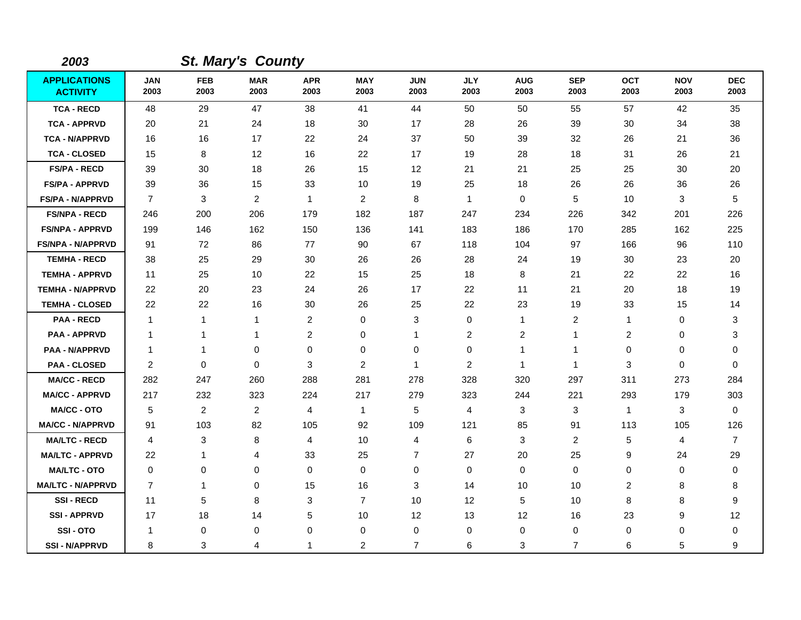| 2003                                   |                    |                    | <b>St. Mary's County</b> |                    |                    |                    |                    |                         |                    |                |                    |                    |
|----------------------------------------|--------------------|--------------------|--------------------------|--------------------|--------------------|--------------------|--------------------|-------------------------|--------------------|----------------|--------------------|--------------------|
| <b>APPLICATIONS</b><br><b>ACTIVITY</b> | <b>JAN</b><br>2003 | <b>FEB</b><br>2003 | <b>MAR</b><br>2003       | <b>APR</b><br>2003 | <b>MAY</b><br>2003 | <b>JUN</b><br>2003 | <b>JLY</b><br>2003 | <b>AUG</b><br>2003      | <b>SEP</b><br>2003 | OCT<br>2003    | <b>NOV</b><br>2003 | <b>DEC</b><br>2003 |
| <b>TCA - RECD</b>                      | 48                 | 29                 | 47                       | 38                 | 41                 | 44                 | 50                 | 50                      | 55                 | 57             | 42                 | 35                 |
| <b>TCA - APPRVD</b>                    | 20                 | 21                 | 24                       | 18                 | 30                 | 17                 | 28                 | 26                      | 39                 | 30             | 34                 | 38                 |
| <b>TCA - N/APPRVD</b>                  | 16                 | 16                 | 17                       | 22                 | 24                 | 37                 | 50                 | 39                      | 32                 | 26             | 21                 | 36                 |
| <b>TCA - CLOSED</b>                    | 15                 | 8                  | 12                       | 16                 | 22                 | 17                 | 19                 | 28                      | 18                 | 31             | 26                 | 21                 |
| <b>FS/PA - RECD</b>                    | 39                 | 30                 | 18                       | 26                 | 15                 | 12                 | 21                 | 21                      | 25                 | 25             | 30                 | 20                 |
| <b>FS/PA - APPRVD</b>                  | 39                 | 36                 | 15                       | 33                 | 10                 | 19                 | 25                 | 18                      | 26                 | 26             | 36                 | 26                 |
| <b>FS/PA - N/APPRVD</b>                | $\overline{7}$     | 3                  | $\overline{2}$           | $\mathbf{1}$       | $\overline{2}$     | 8                  | $\mathbf{1}$       | 0                       | 5                  | 10             | 3                  | 5                  |
| <b>FS/NPA - RECD</b>                   | 246                | 200                | 206                      | 179                | 182                | 187                | 247                | 234                     | 226                | 342            | 201                | 226                |
| <b>FS/NPA - APPRVD</b>                 | 199                | 146                | 162                      | 150                | 136                | 141                | 183                | 186                     | 170                | 285            | 162                | 225                |
| <b>FS/NPA - N/APPRVD</b>               | 91                 | 72                 | 86                       | 77                 | 90                 | 67                 | 118                | 104                     | 97                 | 166            | 96                 | 110                |
| <b>TEMHA - RECD</b>                    | 38                 | 25                 | 29                       | 30                 | 26                 | 26                 | 28                 | 24                      | 19                 | 30             | 23                 | 20                 |
| <b>TEMHA - APPRVD</b>                  | 11                 | 25                 | 10                       | 22                 | 15                 | 25                 | 18                 | 8                       | 21                 | 22             | 22                 | 16                 |
| <b>TEMHA - N/APPRVD</b>                | 22                 | 20                 | 23                       | 24                 | 26                 | 17                 | 22                 | 11                      | 21                 | 20             | 18                 | 19                 |
| <b>TEMHA - CLOSED</b>                  | 22                 | 22                 | 16                       | 30                 | 26                 | 25                 | 22                 | 23                      | 19                 | 33             | 15                 | 14                 |
| <b>PAA - RECD</b>                      | $\overline{1}$     | $\mathbf{1}$       | $\overline{1}$           | $\overline{c}$     | 0                  | 3                  | $\mathbf 0$        | 1                       | $\overline{c}$     | 1              | 0                  | 3                  |
| <b>PAA - APPRVD</b>                    | $\overline{1}$     | 1                  | 1                        | 2                  | 0                  | 1                  | $\overline{c}$     | $\overline{\mathbf{c}}$ | $\mathbf 1$        | 2              | 0                  | 3                  |
| <b>PAA - N/APPRVD</b>                  | $\overline{1}$     | 1                  | 0                        | 0                  | $\mathbf 0$        | 0                  | $\mathbf 0$        | 1                       | 1                  | 0              | 0                  | 0                  |
| <b>PAA - CLOSED</b>                    | 2                  | 0                  | $\mathbf 0$              | 3                  | $\overline{c}$     | 1                  | $\overline{c}$     | 1                       | $\mathbf 1$        | 3              | $\mathbf 0$        | $\mathbf 0$        |
| <b>MA/CC - RECD</b>                    | 282                | 247                | 260                      | 288                | 281                | 278                | 328                | 320                     | 297                | 311            | 273                | 284                |
| <b>MA/CC - APPRVD</b>                  | 217                | 232                | 323                      | 224                | 217                | 279                | 323                | 244                     | 221                | 293            | 179                | 303                |
| <b>MA/CC - OTO</b>                     | 5                  | 2                  | $\overline{2}$           | $\overline{4}$     | $\mathbf{1}$       | 5                  | 4                  | 3                       | 3                  | $\mathbf{1}$   | 3                  | 0                  |
| <b>MA/CC - N/APPRVD</b>                | 91                 | 103                | 82                       | 105                | 92                 | 109                | 121                | 85                      | 91                 | 113            | 105                | 126                |
| <b>MA/LTC - RECD</b>                   | 4                  | 3                  | 8                        | 4                  | 10                 | 4                  | 6                  | 3                       | 2                  | 5              | 4                  | $\overline{7}$     |
| <b>MA/LTC - APPRVD</b>                 | 22                 | 1                  | 4                        | 33                 | 25                 | $\overline{7}$     | 27                 | 20                      | 25                 | 9              | 24                 | 29                 |
| <b>MA/LTC - OTO</b>                    | 0                  | 0                  | 0                        | 0                  | 0                  | 0                  | 0                  | 0                       | $\mathbf 0$        | 0              | 0                  | 0                  |
| <b>MA/LTC - N/APPRVD</b>               | $\overline{7}$     | 1                  | 0                        | 15                 | 16                 | 3                  | 14                 | 10                      | 10                 | $\overline{c}$ | 8                  | 8                  |
| <b>SSI-RECD</b>                        | 11                 | 5                  | 8                        | 3                  | $\overline{7}$     | 10                 | 12                 | 5                       | 10                 | 8              | 8                  | 9                  |
| <b>SSI - APPRVD</b>                    | 17                 | 18                 | 14                       | 5                  | 10                 | 12                 | 13                 | 12                      | 16                 | 23             | 9                  | 12                 |
| SSI-OTO                                | -1                 | 0                  | 0                        | 0                  | 0                  | 0                  | $\mathbf 0$        | 0                       | 0                  | 0              | 0                  | 0                  |
| <b>SSI - N/APPRVD</b>                  | 8                  | 3                  | 4                        | 1                  | $\overline{2}$     | $\overline{7}$     | 6                  | 3                       | $\overline{7}$     | 6              | 5                  | 9                  |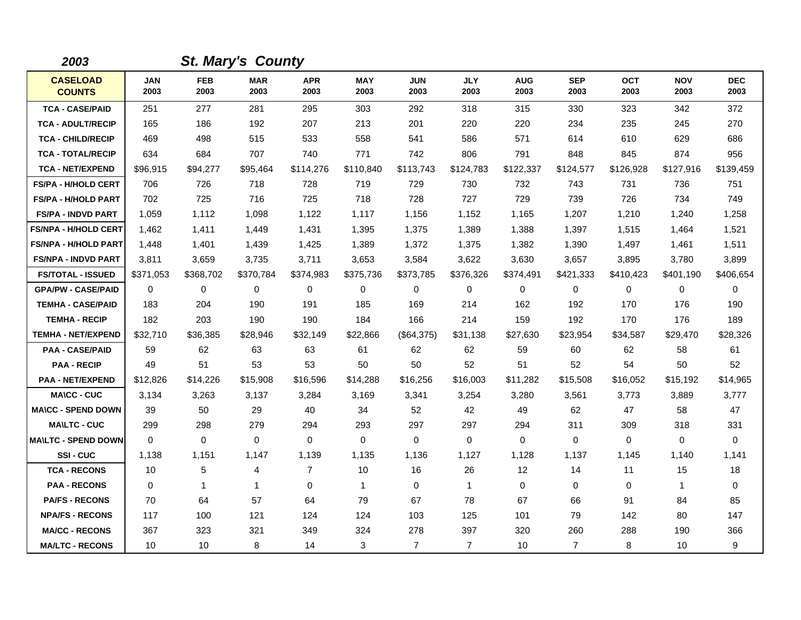| 2003                             |                    |                    | <b>St. Mary's County</b> |                    |                    |                    |                    |                    |                    |                    |                    |                    |
|----------------------------------|--------------------|--------------------|--------------------------|--------------------|--------------------|--------------------|--------------------|--------------------|--------------------|--------------------|--------------------|--------------------|
| <b>CASELOAD</b><br><b>COUNTS</b> | <b>JAN</b><br>2003 | <b>FEB</b><br>2003 | <b>MAR</b><br>2003       | <b>APR</b><br>2003 | <b>MAY</b><br>2003 | <b>JUN</b><br>2003 | <b>JLY</b><br>2003 | <b>AUG</b><br>2003 | <b>SEP</b><br>2003 | <b>OCT</b><br>2003 | <b>NOV</b><br>2003 | <b>DEC</b><br>2003 |
| <b>TCA - CASE/PAID</b>           | 251                | 277                | 281                      | 295                | 303                | 292                | 318                | 315                | 330                | 323                | 342                | 372                |
| <b>TCA - ADULT/RECIP</b>         | 165                | 186                | 192                      | 207                | 213                | 201                | 220                | 220                | 234                | 235                | 245                | 270                |
| <b>TCA - CHILD/RECIP</b>         | 469                | 498                | 515                      | 533                | 558                | 541                | 586                | 571                | 614                | 610                | 629                | 686                |
| <b>TCA - TOTAL/RECIP</b>         | 634                | 684                | 707                      | 740                | 771                | 742                | 806                | 791                | 848                | 845                | 874                | 956                |
| <b>TCA - NET/EXPEND</b>          | \$96,915           | \$94,277           | \$95,464                 | \$114,276          | \$110,840          | \$113,743          | \$124,783          | \$122,337          | \$124,577          | \$126,928          | \$127,916          | \$139,459          |
| FS/PA - H/HOLD CERT              | 706                | 726                | 718                      | 728                | 719                | 729                | 730                | 732                | 743                | 731                | 736                | 751                |
| <b>FS/PA - H/HOLD PART</b>       | 702                | 725                | 716                      | 725                | 718                | 728                | 727                | 729                | 739                | 726                | 734                | 749                |
| <b>FS/PA - INDVD PART</b>        | 1,059              | 1,112              | 1,098                    | 1,122              | 1,117              | 1,156              | 1,152              | 1,165              | 1,207              | 1,210              | 1,240              | 1,258              |
| <b>FS/NPA - H/HOLD CERT</b>      | 1,462              | 1,411              | 1,449                    | 1,431              | 1,395              | 1,375              | 1,389              | 1,388              | 1,397              | 1,515              | 1,464              | 1,521              |
| <b>FS/NPA - H/HOLD PART</b>      | 1,448              | 1.401              | 1.439                    | 1,425              | 1,389              | 1.372              | 1,375              | 1,382              | 1.390              | 1.497              | 1,461              | 1,511              |
| <b>FS/NPA - INDVD PART</b>       | 3,811              | 3,659              | 3,735                    | 3,711              | 3,653              | 3,584              | 3,622              | 3,630              | 3,657              | 3,895              | 3,780              | 3,899              |
| <b>FS/TOTAL - ISSUED</b>         | \$371,053          | \$368,702          | \$370,784                | \$374,983          | \$375,736          | \$373,785          | \$376,326          | \$374,491          | \$421,333          | \$410,423          | \$401,190          | \$406,654          |
| <b>GPA/PW - CASE/PAID</b>        | $\Omega$           | $\Omega$           | $\mathbf{0}$             | $\Omega$           | $\Omega$           | $\Omega$           | 0                  | 0                  | $\Omega$           | $\Omega$           | $\mathbf{0}$       | 0                  |
| <b>TEMHA - CASE/PAID</b>         | 183                | 204                | 190                      | 191                | 185                | 169                | 214                | 162                | 192                | 170                | 176                | 190                |
| <b>TEMHA - RECIP</b>             | 182                | 203                | 190                      | 190                | 184                | 166                | 214                | 159                | 192                | 170                | 176                | 189                |
| <b>TEMHA - NET/EXPEND</b>        | \$32,710           | \$36,385           | \$28,946                 | \$32,149           | \$22,866           | (\$64,375)         | \$31,138           | \$27,630           | \$23,954           | \$34,587           | \$29,470           | \$28,326           |
| <b>PAA - CASE/PAID</b>           | 59                 | 62                 | 63                       | 63                 | 61                 | 62                 | 62                 | 59                 | 60                 | 62                 | 58                 | 61                 |
| <b>PAA - RECIP</b>               | 49                 | 51                 | 53                       | 53                 | 50                 | 50                 | 52                 | 51                 | 52                 | 54                 | 50                 | 52                 |
| <b>PAA - NET/EXPEND</b>          | \$12,826           | \$14,226           | \$15,908                 | \$16,596           | \$14,288           | \$16,256           | \$16,003           | \$11,282           | \$15,508           | \$16,052           | \$15,192           | \$14,965           |
| <b>MA\CC - CUC</b>               | 3,134              | 3,263              | 3,137                    | 3,284              | 3,169              | 3,341              | 3,254              | 3,280              | 3,561              | 3,773              | 3,889              | 3,777              |
| <b>MA\CC - SPEND DOWN</b>        | 39                 | 50                 | 29                       | 40                 | 34                 | 52                 | 42                 | 49                 | 62                 | 47                 | 58                 | 47                 |
| <b>MA\LTC - CUC</b>              | 299                | 298                | 279                      | 294                | 293                | 297                | 297                | 294                | 311                | 309                | 318                | 331                |
| <b>MAILTC - SPEND DOWN</b>       | $\Omega$           | $\Omega$           | $\mathbf 0$              | $\Omega$           | $\Omega$           | $\Omega$           | $\Omega$           | $\Omega$           | $\Omega$           | $\Omega$           | $\mathbf 0$        | 0                  |
| SSI-CUC                          | 1,138              | 1,151              | 1,147                    | 1,139              | 1,135              | 1,136              | 1,127              | 1,128              | 1,137              | 1,145              | 1,140              | 1,141              |
| <b>TCA - RECONS</b>              | 10                 | 5                  | 4                        | $\overline{7}$     | 10                 | 16                 | 26                 | 12                 | 14                 | 11                 | 15                 | 18                 |
| <b>PAA - RECONS</b>              | $\Omega$           | 1                  | 1                        | $\Omega$           | $\mathbf{1}$       | $\Omega$           | $\mathbf{1}$       | $\Omega$           | $\Omega$           | $\Omega$           | $\mathbf{1}$       | 0                  |
| <b>PA/FS - RECONS</b>            | 70                 | 64                 | 57                       | 64                 | 79                 | 67                 | 78                 | 67                 | 66                 | 91                 | 84                 | 85                 |
| <b>NPA/FS - RECONS</b>           | 117                | 100                | 121                      | 124                | 124                | 103                | 125                | 101                | 79                 | 142                | 80                 | 147                |
| <b>MA/CC - RECONS</b>            | 367                | 323                | 321                      | 349                | 324                | 278                | 397                | 320                | 260                | 288                | 190                | 366                |
| <b>MA/LTC - RECONS</b>           | 10                 | 10                 | 8                        | 14                 | 3                  | $\overline{7}$     | $\overline{7}$     | 10                 | $\overline{7}$     | 8                  | 10                 | 9                  |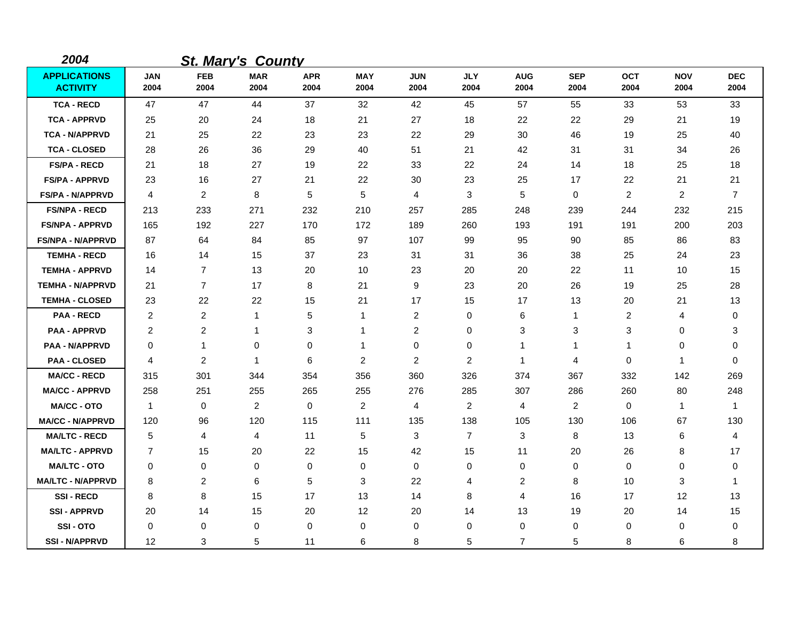| 2004                                   |                    |                    | <b>St. Mary's County</b> |                    |                    |                    |                    |                    |                    |                    |                    |                    |
|----------------------------------------|--------------------|--------------------|--------------------------|--------------------|--------------------|--------------------|--------------------|--------------------|--------------------|--------------------|--------------------|--------------------|
| <b>APPLICATIONS</b><br><b>ACTIVITY</b> | <b>JAN</b><br>2004 | <b>FEB</b><br>2004 | <b>MAR</b><br>2004       | <b>APR</b><br>2004 | <b>MAY</b><br>2004 | <b>JUN</b><br>2004 | <b>JLY</b><br>2004 | <b>AUG</b><br>2004 | <b>SEP</b><br>2004 | <b>OCT</b><br>2004 | <b>NOV</b><br>2004 | <b>DEC</b><br>2004 |
| <b>TCA - RECD</b>                      | 47                 | 47                 | 44                       | 37                 | 32                 | 42                 | 45                 | 57                 | 55                 | 33                 | 53                 | 33                 |
| <b>TCA - APPRVD</b>                    | 25                 | 20                 | 24                       | 18                 | 21                 | 27                 | 18                 | 22                 | 22                 | 29                 | 21                 | 19                 |
| <b>TCA - N/APPRVD</b>                  | 21                 | 25                 | 22                       | 23                 | 23                 | 22                 | 29                 | 30                 | 46                 | 19                 | 25                 | 40                 |
| <b>TCA - CLOSED</b>                    | 28                 | 26                 | 36                       | 29                 | 40                 | 51                 | 21                 | 42                 | 31                 | 31                 | 34                 | 26                 |
| <b>FS/PA - RECD</b>                    | 21                 | 18                 | 27                       | 19                 | 22                 | 33                 | 22                 | 24                 | 14                 | 18                 | 25                 | 18                 |
| <b>FS/PA - APPRVD</b>                  | 23                 | 16                 | 27                       | 21                 | 22                 | 30                 | 23                 | 25                 | 17                 | 22                 | 21                 | 21                 |
| <b>FS/PA - N/APPRVD</b>                | 4                  | 2                  | 8                        | 5                  | 5                  | 4                  | 3                  | 5                  | $\Omega$           | $\overline{c}$     | $\overline{2}$     | $\overline{7}$     |
| <b>FS/NPA - RECD</b>                   | 213                | 233                | 271                      | 232                | 210                | 257                | 285                | 248                | 239                | 244                | 232                | 215                |
| <b>FS/NPA - APPRVD</b>                 | 165                | 192                | 227                      | 170                | 172                | 189                | 260                | 193                | 191                | 191                | 200                | 203                |
| <b>FS/NPA - N/APPRVD</b>               | 87                 | 64                 | 84                       | 85                 | 97                 | 107                | 99                 | 95                 | 90                 | 85                 | 86                 | 83                 |
| <b>TEMHA - RECD</b>                    | 16                 | 14                 | 15                       | 37                 | 23                 | 31                 | 31                 | 36                 | 38                 | 25                 | 24                 | 23                 |
| <b>TEMHA - APPRVD</b>                  | 14                 | $\overline{7}$     | 13                       | 20                 | 10                 | 23                 | 20                 | 20                 | 22                 | 11                 | 10                 | 15                 |
| <b>TEMHA - N/APPRVD</b>                | 21                 | $\overline{7}$     | 17                       | 8                  | 21                 | 9                  | 23                 | 20                 | 26                 | 19                 | 25                 | 28                 |
| <b>TEMHA - CLOSED</b>                  | 23                 | 22                 | 22                       | 15                 | 21                 | 17                 | 15                 | 17                 | 13                 | 20                 | 21                 | 13                 |
| <b>PAA - RECD</b>                      | $\overline{2}$     | $\overline{c}$     | $\mathbf{1}$             | 5                  | 1                  | 2                  | 0                  | 6                  | $\mathbf 1$        | 2                  | 4                  | 0                  |
| <b>PAA - APPRVD</b>                    | 2                  | $\overline{c}$     | 1                        | 3                  | $\mathbf 1$        | $\overline{c}$     | 0                  | 3                  | 3                  | 3                  | 0                  | 3                  |
| <b>PAA - N/APPRVD</b>                  | 0                  | -1                 | $\mathbf 0$              | 0                  | $\mathbf 1$        | 0                  | 0                  | $\mathbf 1$        | 1                  | 1                  | 0                  | 0                  |
| <b>PAA - CLOSED</b>                    | $\overline{4}$     | 2                  | $\mathbf{1}$             | 6                  | $\overline{2}$     | 2                  | $\overline{2}$     | $\mathbf{1}$       | 4                  | 0                  | 1                  | 0                  |
| <b>MA/CC - RECD</b>                    | 315                | 301                | 344                      | 354                | 356                | 360                | 326                | 374                | 367                | 332                | 142                | 269                |
| <b>MA/CC - APPRVD</b>                  | 258                | 251                | 255                      | 265                | 255                | 276                | 285                | 307                | 286                | 260                | 80                 | 248                |
| <b>MA/CC - OTO</b>                     | $\mathbf{1}$       | 0                  | $\overline{2}$           | 0                  | $\overline{2}$     | 4                  | $\overline{2}$     | 4                  | $\overline{2}$     | 0                  | 1                  | $\overline{1}$     |
| <b>MA/CC - N/APPRVD</b>                | 120                | 96                 | 120                      | 115                | 111                | 135                | 138                | 105                | 130                | 106                | 67                 | 130                |
| <b>MA/LTC - RECD</b>                   | 5                  | 4                  | 4                        | 11                 | 5                  | 3                  | $\overline{7}$     | 3                  | 8                  | 13                 | 6                  | 4                  |
| <b>MA/LTC - APPRVD</b>                 | 7                  | 15                 | 20                       | 22                 | 15                 | 42                 | 15                 | 11                 | 20                 | 26                 | 8                  | 17                 |
| <b>MA/LTC - OTO</b>                    | 0                  | 0                  | $\mathbf 0$              | 0                  | 0                  | $\mathbf 0$        | 0                  | 0                  | 0                  | 0                  | 0                  | 0                  |
| <b>MA/LTC - N/APPRVD</b>               | 8                  | 2                  | 6                        | 5                  | 3                  | 22                 | 4                  | 2                  | 8                  | 10                 | 3                  | -1                 |
| <b>SSI-RECD</b>                        | 8                  | 8                  | 15                       | 17                 | 13                 | 14                 | 8                  | 4                  | 16                 | 17                 | 12                 | 13                 |
| <b>SSI-APPRVD</b>                      | 20                 | 14                 | 15                       | 20                 | 12                 | 20                 | 14                 | 13                 | 19                 | 20                 | 14                 | 15                 |
| <b>SSI-OTO</b>                         | 0                  | 0                  | 0                        | 0                  | 0                  | 0                  | 0                  | 0                  | 0                  | 0                  | 0                  | 0                  |
| <b>SSI-N/APPRVD</b>                    | 12                 | 3                  | 5                        | 11                 | 6                  | 8                  | 5                  | $\overline{7}$     | 5                  | 8                  | 6                  | 8                  |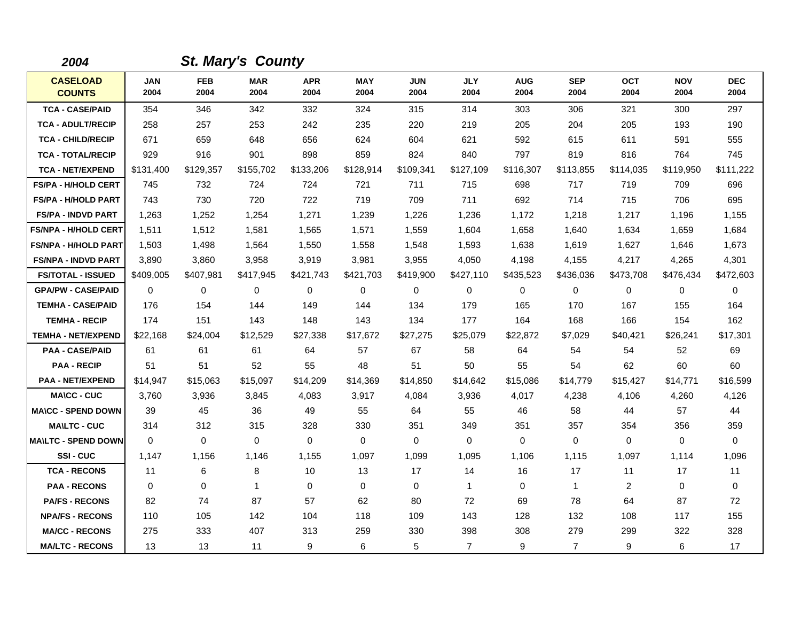| 2004                             |                    |                    | <b>St. Mary's County</b> |                    |                    |                    |                    |                    |                    |                    |                    |                    |
|----------------------------------|--------------------|--------------------|--------------------------|--------------------|--------------------|--------------------|--------------------|--------------------|--------------------|--------------------|--------------------|--------------------|
| <b>CASELOAD</b><br><b>COUNTS</b> | <b>JAN</b><br>2004 | <b>FEB</b><br>2004 | <b>MAR</b><br>2004       | <b>APR</b><br>2004 | <b>MAY</b><br>2004 | <b>JUN</b><br>2004 | <b>JLY</b><br>2004 | <b>AUG</b><br>2004 | <b>SEP</b><br>2004 | <b>OCT</b><br>2004 | <b>NOV</b><br>2004 | <b>DEC</b><br>2004 |
| <b>TCA - CASE/PAID</b>           | 354                | 346                | 342                      | 332                | 324                | 315                | 314                | 303                | 306                | 321                | 300                | 297                |
| <b>TCA - ADULT/RECIP</b>         | 258                | 257                | 253                      | 242                | 235                | 220                | 219                | 205                | 204                | 205                | 193                | 190                |
| <b>TCA - CHILD/RECIP</b>         | 671                | 659                | 648                      | 656                | 624                | 604                | 621                | 592                | 615                | 611                | 591                | 555                |
| <b>TCA - TOTAL/RECIP</b>         | 929                | 916                | 901                      | 898                | 859                | 824                | 840                | 797                | 819                | 816                | 764                | 745                |
| <b>TCA - NET/EXPEND</b>          | \$131,400          | \$129,357          | \$155,702                | \$133,206          | \$128,914          | \$109,341          | \$127,109          | \$116,307          | \$113,855          | \$114,035          | \$119,950          | \$111,222          |
| <b>FS/PA - H/HOLD CERT</b>       | 745                | 732                | 724                      | 724                | 721                | 711                | 715                | 698                | 717                | 719                | 709                | 696                |
| <b>FS/PA - H/HOLD PART</b>       | 743                | 730                | 720                      | 722                | 719                | 709                | 711                | 692                | 714                | 715                | 706                | 695                |
| <b>FS/PA - INDVD PART</b>        | 1,263              | 1,252              | 1,254                    | 1,271              | 1,239              | 1,226              | 1,236              | 1,172              | 1,218              | 1,217              | 1,196              | 1,155              |
| <b>FS/NPA - H/HOLD CERT</b>      | 1,511              | 1,512              | 1,581                    | 1,565              | 1,571              | 1.559              | 1.604              | 1,658              | 1.640              | 1,634              | 1,659              | 1,684              |
| <b>FS/NPA - H/HOLD PART</b>      | 1,503              | 1,498              | 1.564                    | 1,550              | 1,558              | 1.548              | 1,593              | 1,638              | 1,619              | 1,627              | 1,646              | 1,673              |
| <b>FS/NPA - INDVD PART</b>       | 3,890              | 3,860              | 3,958                    | 3,919              | 3,981              | 3,955              | 4,050              | 4,198              | 4,155              | 4,217              | 4,265              | 4,301              |
| <b>FS/TOTAL - ISSUED</b>         | \$409,005          | \$407,981          | \$417,945                | \$421,743          | \$421,703          | \$419,900          | \$427,110          | \$435,523          | \$436,036          | \$473,708          | \$476,434          | \$472,603          |
| <b>GPA/PW - CASE/PAID</b>        | 0                  | 0                  | $\mathbf 0$              | 0                  | $\mathbf 0$        | 0                  | 0                  | 0                  | $\mathbf 0$        | 0                  | 0                  | 0                  |
| <b>TEMHA - CASE/PAID</b>         | 176                | 154                | 144                      | 149                | 144                | 134                | 179                | 165                | 170                | 167                | 155                | 164                |
| <b>TEMHA - RECIP</b>             | 174                | 151                | 143                      | 148                | 143                | 134                | 177                | 164                | 168                | 166                | 154                | 162                |
| <b>TEMHA - NET/EXPEND</b>        | \$22,168           | \$24,004           | \$12,529                 | \$27,338           | \$17,672           | \$27,275           | \$25,079           | \$22,872           | \$7,029            | \$40,421           | \$26,241           | \$17,301           |
| <b>PAA - CASE/PAID</b>           | 61                 | 61                 | 61                       | 64                 | 57                 | 67                 | 58                 | 64                 | 54                 | 54                 | 52                 | 69                 |
| <b>PAA - RECIP</b>               | 51                 | 51                 | 52                       | 55                 | 48                 | 51                 | 50                 | 55                 | 54                 | 62                 | 60                 | 60                 |
| <b>PAA - NET/EXPEND</b>          | \$14,947           | \$15,063           | \$15,097                 | \$14,209           | \$14,369           | \$14,850           | \$14,642           | \$15,086           | \$14,779           | \$15,427           | \$14,771           | \$16,599           |
| <b>MA\CC - CUC</b>               | 3,760              | 3,936              | 3,845                    | 4,083              | 3,917              | 4,084              | 3,936              | 4,017              | 4,238              | 4,106              | 4,260              | 4,126              |
| <b>MA\CC - SPEND DOWN</b>        | 39                 | 45                 | 36                       | 49                 | 55                 | 64                 | 55                 | 46                 | 58                 | 44                 | 57                 | 44                 |
| <b>MA\LTC - CUC</b>              | 314                | 312                | 315                      | 328                | 330                | 351                | 349                | 351                | 357                | 354                | 356                | 359                |
| <b>MAILTC - SPEND DOWN</b>       | 0                  | $\Omega$           | $\mathbf 0$              | $\mathbf{0}$       | $\mathbf 0$        | $\mathbf 0$        | $\Omega$           | 0                  | $\Omega$           | $\Omega$           | 0                  | 0                  |
| SSI-CUC                          | 1,147              | 1,156              | 1,146                    | 1,155              | 1,097              | 1,099              | 1,095              | 1,106              | 1,115              | 1,097              | 1,114              | 1,096              |
| <b>TCA - RECONS</b>              | 11                 | 6                  | 8                        | 10                 | 13                 | 17                 | 14                 | 16                 | 17                 | 11                 | 17                 | 11                 |
| <b>PAA - RECONS</b>              | 0                  | 0                  | $\mathbf 1$              | $\Omega$           | $\mathbf 0$        | $\mathbf 0$        | $\mathbf{1}$       | 0                  | $\mathbf{1}$       | 2                  | $\mathbf 0$        | $\mathbf 0$        |
| <b>PA/FS - RECONS</b>            | 82                 | 74                 | 87                       | 57                 | 62                 | 80                 | 72                 | 69                 | 78                 | 64                 | 87                 | 72                 |
| <b>NPA/FS - RECONS</b>           | 110                | 105                | 142                      | 104                | 118                | 109                | 143                | 128                | 132                | 108                | 117                | 155                |
| <b>MA/CC - RECONS</b>            | 275                | 333                | 407                      | 313                | 259                | 330                | 398                | 308                | 279                | 299                | 322                | 328                |
| <b>MA/LTC - RECONS</b>           | 13                 | 13                 | 11                       | 9                  | 6                  | 5                  | $\overline{7}$     | 9                  | $\overline{7}$     | 9                  | 6                  | 17                 |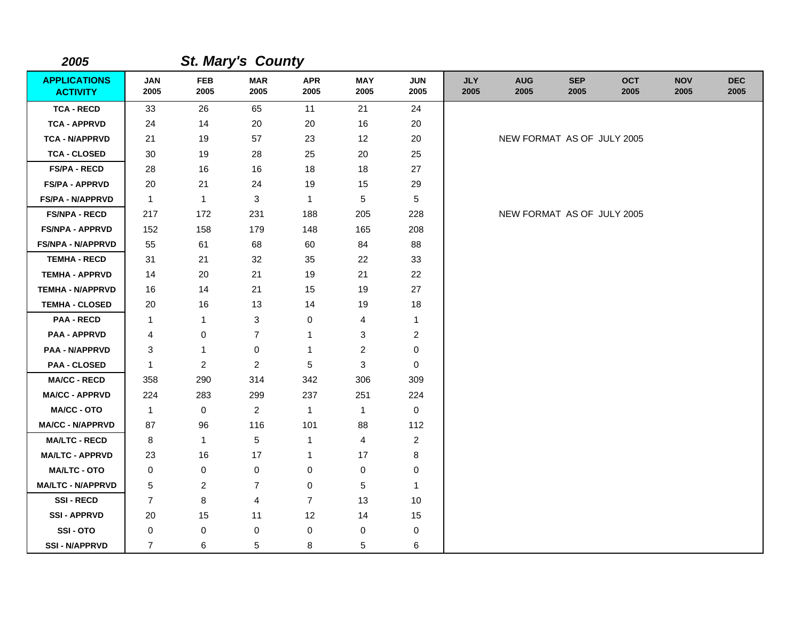| 2005                                   |                    |                    | <b>St. Mary's County</b> |                    |                    |                    |                    |                            |                    |                    |                    |                    |
|----------------------------------------|--------------------|--------------------|--------------------------|--------------------|--------------------|--------------------|--------------------|----------------------------|--------------------|--------------------|--------------------|--------------------|
| <b>APPLICATIONS</b><br><b>ACTIVITY</b> | <b>JAN</b><br>2005 | <b>FEB</b><br>2005 | <b>MAR</b><br>2005       | <b>APR</b><br>2005 | <b>MAY</b><br>2005 | <b>JUN</b><br>2005 | <b>JLY</b><br>2005 | <b>AUG</b><br>2005         | <b>SEP</b><br>2005 | <b>OCT</b><br>2005 | <b>NOV</b><br>2005 | <b>DEC</b><br>2005 |
| <b>TCA - RECD</b>                      | 33                 | 26                 | 65                       | 11                 | 21                 | 24                 |                    |                            |                    |                    |                    |                    |
| <b>TCA - APPRVD</b>                    | 24                 | 14                 | 20                       | 20                 | 16                 | 20                 |                    |                            |                    |                    |                    |                    |
| <b>TCA - N/APPRVD</b>                  | 21                 | 19                 | 57                       | 23                 | 12                 | $20\,$             |                    | NEW FORMAT AS OF JULY 2005 |                    |                    |                    |                    |
| <b>TCA - CLOSED</b>                    | 30                 | 19                 | 28                       | 25                 | 20                 | 25                 |                    |                            |                    |                    |                    |                    |
| <b>FS/PA - RECD</b>                    | 28                 | 16                 | 16                       | 18                 | 18                 | 27                 |                    |                            |                    |                    |                    |                    |
| <b>FS/PA - APPRVD</b>                  | 20                 | 21                 | 24                       | 19                 | 15                 | 29                 |                    |                            |                    |                    |                    |                    |
| <b>FS/PA - N/APPRVD</b>                | $\mathbf{1}$       | $\mathbf{1}$       | 3                        | $\mathbf{1}$       | 5                  | 5                  |                    |                            |                    |                    |                    |                    |
| <b>FS/NPA - RECD</b>                   | 217                | 172                | 231                      | 188                | 205                | 228                |                    | NEW FORMAT AS OF JULY 2005 |                    |                    |                    |                    |
| <b>FS/NPA - APPRVD</b>                 | 152                | 158                | 179                      | 148                | 165                | 208                |                    |                            |                    |                    |                    |                    |
| <b>FS/NPA - N/APPRVD</b>               | 55                 | 61                 | 68                       | 60                 | 84                 | 88                 |                    |                            |                    |                    |                    |                    |
| <b>TEMHA - RECD</b>                    | 31                 | 21                 | 32                       | 35                 | 22                 | 33                 |                    |                            |                    |                    |                    |                    |
| <b>TEMHA - APPRVD</b>                  | 14                 | 20                 | 21                       | 19                 | 21                 | 22                 |                    |                            |                    |                    |                    |                    |
| <b>TEMHA - N/APPRVD</b>                | 16                 | 14                 | 21                       | 15                 | 19                 | 27                 |                    |                            |                    |                    |                    |                    |
| <b>TEMHA - CLOSED</b>                  | 20                 | 16                 | 13                       | 14                 | 19                 | 18                 |                    |                            |                    |                    |                    |                    |
| <b>PAA - RECD</b>                      | 1                  | $\mathbf{1}$       | 3                        | 0                  | 4                  | $\mathbf{1}$       |                    |                            |                    |                    |                    |                    |
| <b>PAA - APPRVD</b>                    | 4                  | $\pmb{0}$          | $\overline{7}$           | 1                  | 3                  | $\boldsymbol{2}$   |                    |                            |                    |                    |                    |                    |
| <b>PAA - N/APPRVD</b>                  | 3                  | $\mathbf{1}$       | $\pmb{0}$                | $\mathbf{1}$       | $\overline{c}$     | 0                  |                    |                            |                    |                    |                    |                    |
| <b>PAA - CLOSED</b>                    | $\mathbf{1}$       | $\overline{c}$     | $\overline{c}$           | 5                  | $\mathbf{3}$       | $\mathbf 0$        |                    |                            |                    |                    |                    |                    |
| <b>MA/CC - RECD</b>                    | 358                | 290                | 314                      | 342                | 306                | 309                |                    |                            |                    |                    |                    |                    |
| <b>MA/CC - APPRVD</b>                  | 224                | 283                | 299                      | 237                | 251                | 224                |                    |                            |                    |                    |                    |                    |
| <b>MA/CC - OTO</b>                     | $\mathbf{1}$       | 0                  | $\overline{2}$           | $\mathbf{1}$       | $\mathbf{1}$       | 0                  |                    |                            |                    |                    |                    |                    |
| <b>MA/CC - N/APPRVD</b>                | 87                 | 96                 | 116                      | 101                | 88                 | 112                |                    |                            |                    |                    |                    |                    |
| <b>MA/LTC - RECD</b>                   | 8                  | $\mathbf{1}$       | 5                        | $\mathbf{1}$       | 4                  | $\overline{2}$     |                    |                            |                    |                    |                    |                    |
| <b>MA/LTC - APPRVD</b>                 | 23                 | 16                 | 17                       | $\mathbf{1}$       | 17                 | 8                  |                    |                            |                    |                    |                    |                    |
| <b>MA/LTC - OTO</b>                    | 0                  | 0                  | 0                        | 0                  | 0                  | 0                  |                    |                            |                    |                    |                    |                    |
| <b>MA/LTC - N/APPRVD</b>               | 5                  | 2                  | $\overline{7}$           | 0                  | 5                  | $\overline{1}$     |                    |                            |                    |                    |                    |                    |
| <b>SSI-RECD</b>                        | $\overline{7}$     | 8                  | 4                        | $\overline{7}$     | 13                 | 10                 |                    |                            |                    |                    |                    |                    |
| <b>SSI-APPRVD</b>                      | 20                 | 15                 | 11                       | 12                 | 14                 | 15                 |                    |                            |                    |                    |                    |                    |
| SSI-OTO                                | 0                  | 0                  | 0                        | 0                  | 0                  | 0                  |                    |                            |                    |                    |                    |                    |
| <b>SSI - N/APPRVD</b>                  | $\overline{7}$     | 6                  | 5                        | 8                  | 5                  | 6                  |                    |                            |                    |                    |                    |                    |